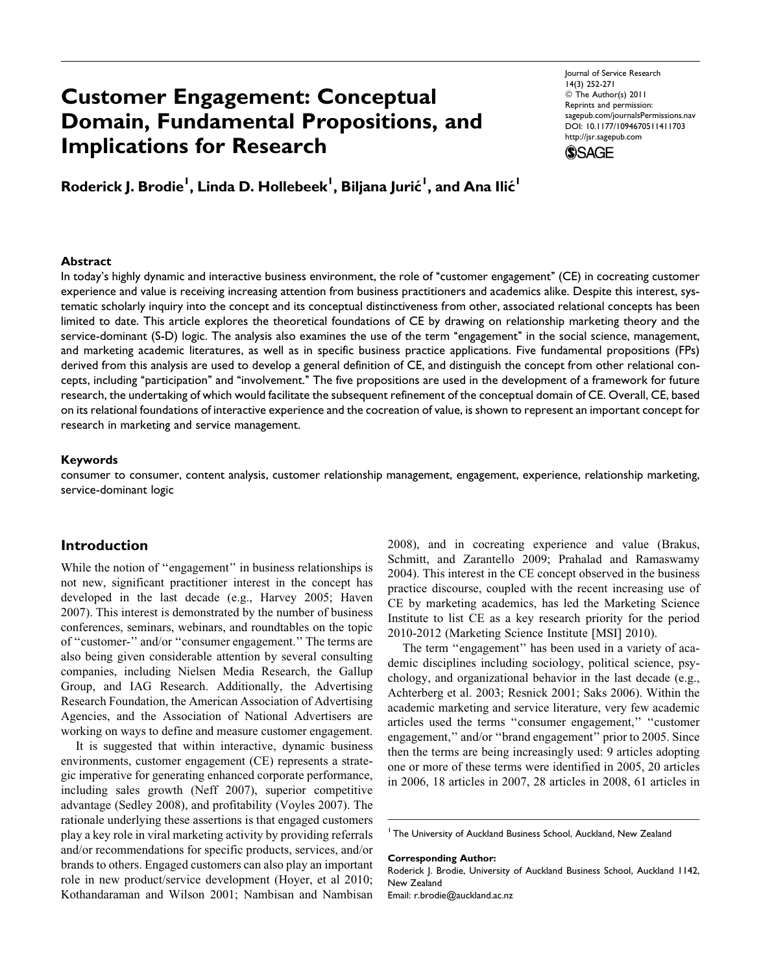# Customer Engagement: Conceptual Domain, Fundamental Propositions, and Implications for Research

Journal of Service Research 14(3) 252-271 © The Author(s) 2011 Reprints and permission: sagepub.com/journalsPermissions.nav DOI: 10.1177/1094670511411703 http://jsr.sagepub.com



Roderick J. Brodie<sup>l</sup>, Linda D. Hollebeek<sup>l</sup>, Biljana Jurić<sup>I</sup>, and Ana Ilić<sup>I</sup>

#### Abstract

In today's highly dynamic and interactive business environment, the role of "customer engagement" (CE) in cocreating customer experience and value is receiving increasing attention from business practitioners and academics alike. Despite this interest, systematic scholarly inquiry into the concept and its conceptual distinctiveness from other, associated relational concepts has been limited to date. This article explores the theoretical foundations of CE by drawing on relationship marketing theory and the service-dominant (S-D) logic. The analysis also examines the use of the term "engagement" in the social science, management, and marketing academic literatures, as well as in specific business practice applications. Five fundamental propositions (FPs) derived from this analysis are used to develop a general definition of CE, and distinguish the concept from other relational concepts, including "participation" and "involvement." The five propositions are used in the development of a framework for future research, the undertaking of which would facilitate the subsequent refinement of the conceptual domain of CE. Overall, CE, based on its relational foundations of interactive experience and the cocreation of value, is shown to represent an important concept for research in marketing and service management.

#### Keywords

consumer to consumer, content analysis, customer relationship management, engagement, experience, relationship marketing, service-dominant logic

## Introduction

While the notion of "engagement" in business relationships is not new, significant practitioner interest in the concept has developed in the last decade (e.g., Harvey 2005; Haven 2007). This interest is demonstrated by the number of business conferences, seminars, webinars, and roundtables on the topic of ''customer-'' and/or ''consumer engagement.'' The terms are also being given considerable attention by several consulting companies, including Nielsen Media Research, the Gallup Group, and IAG Research. Additionally, the Advertising Research Foundation, the American Association of Advertising Agencies, and the Association of National Advertisers are working on ways to define and measure customer engagement.

It is suggested that within interactive, dynamic business environments, customer engagement (CE) represents a strategic imperative for generating enhanced corporate performance, including sales growth (Neff 2007), superior competitive advantage (Sedley 2008), and profitability (Voyles 2007). The rationale underlying these assertions is that engaged customers play a key role in viral marketing activity by providing referrals and/or recommendations for specific products, services, and/or brands to others. Engaged customers can also play an important role in new product/service development (Hoyer, et al 2010; Kothandaraman and Wilson 2001; Nambisan and Nambisan

2008), and in cocreating experience and value (Brakus, Schmitt, and Zarantello 2009; Prahalad and Ramaswamy 2004). This interest in the CE concept observed in the business practice discourse, coupled with the recent increasing use of CE by marketing academics, has led the Marketing Science Institute to list CE as a key research priority for the period 2010-2012 (Marketing Science Institute [MSI] 2010).

The term "engagement" has been used in a variety of academic disciplines including sociology, political science, psychology, and organizational behavior in the last decade (e.g., Achterberg et al. 2003; Resnick 2001; Saks 2006). Within the academic marketing and service literature, very few academic articles used the terms ''consumer engagement,'' ''customer engagement,'' and/or ''brand engagement'' prior to 2005. Since then the terms are being increasingly used: 9 articles adopting one or more of these terms were identified in 2005, 20 articles in 2006, 18 articles in 2007, 28 articles in 2008, 61 articles in

#### Corresponding Author:

Roderick J. Brodie, University of Auckland Business School, Auckland 1142, New Zealand

Email: r.brodie@auckland.ac.nz

<sup>1</sup> The University of Auckland Business School, Auckland, New Zealand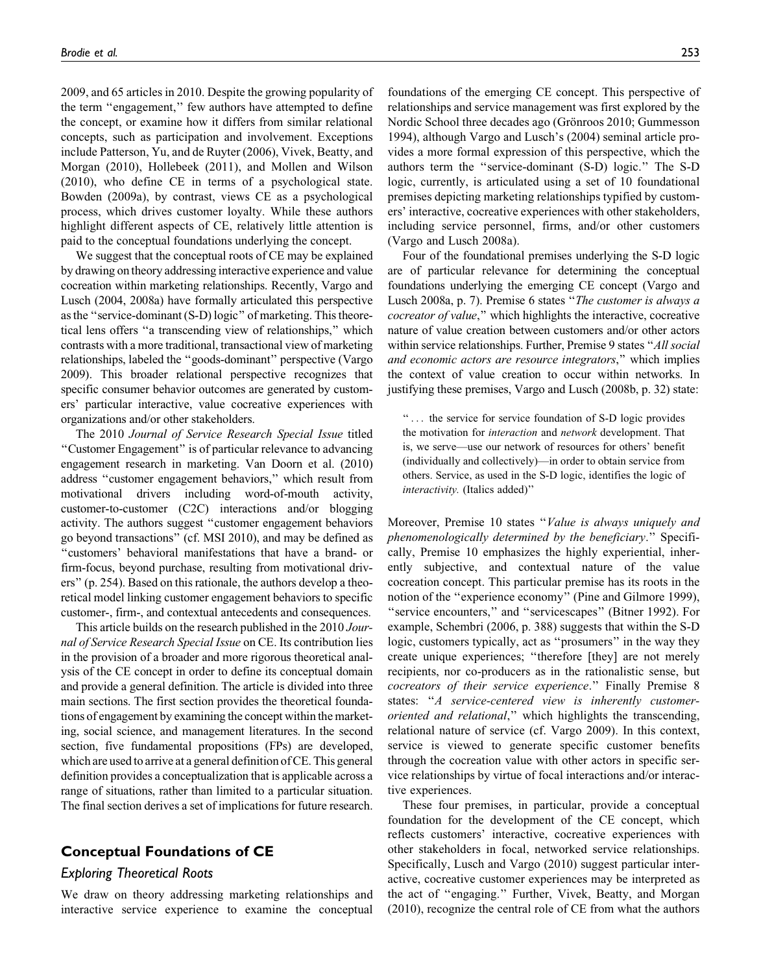2009, and 65 articles in 2010. Despite the growing popularity of the term ''engagement,'' few authors have attempted to define the concept, or examine how it differs from similar relational concepts, such as participation and involvement. Exceptions include Patterson, Yu, and de Ruyter (2006), Vivek, Beatty, and Morgan (2010), Hollebeek (2011), and Mollen and Wilson (2010), who define CE in terms of a psychological state. Bowden (2009a), by contrast, views CE as a psychological process, which drives customer loyalty. While these authors highlight different aspects of CE, relatively little attention is paid to the conceptual foundations underlying the concept.

We suggest that the conceptual roots of CE may be explained by drawing on theory addressing interactive experience and value cocreation within marketing relationships. Recently, Vargo and Lusch (2004, 2008a) have formally articulated this perspective as the ''service-dominant (S-D) logic'' of marketing. This theoretical lens offers ''a transcending view of relationships,'' which contrasts with a more traditional, transactional view of marketing relationships, labeled the ''goods-dominant'' perspective (Vargo 2009). This broader relational perspective recognizes that specific consumer behavior outcomes are generated by customers' particular interactive, value cocreative experiences with organizations and/or other stakeholders.

The 2010 Journal of Service Research Special Issue titled ''Customer Engagement'' is of particular relevance to advancing engagement research in marketing. Van Doorn et al. (2010) address ''customer engagement behaviors,'' which result from motivational drivers including word-of-mouth activity, customer-to-customer (C2C) interactions and/or blogging activity. The authors suggest ''customer engagement behaviors go beyond transactions'' (cf. MSI 2010), and may be defined as ''customers' behavioral manifestations that have a brand- or firm-focus, beyond purchase, resulting from motivational drivers'' (p. 254). Based on this rationale, the authors develop a theoretical model linking customer engagement behaviors to specific customer-, firm-, and contextual antecedents and consequences.

This article builds on the research published in the 2010 Journal of Service Research Special Issue on CE. Its contribution lies in the provision of a broader and more rigorous theoretical analysis of the CE concept in order to define its conceptual domain and provide a general definition. The article is divided into three main sections. The first section provides the theoretical foundations of engagement by examining the concept within the marketing, social science, and management literatures. In the second section, five fundamental propositions (FPs) are developed, which are used to arrive at a general definition of CE. This general definition provides a conceptualization that is applicable across a range of situations, rather than limited to a particular situation. The final section derives a set of implications for future research.

## Conceptual Foundations of CE

## Exploring Theoretical Roots

We draw on theory addressing marketing relationships and interactive service experience to examine the conceptual

foundations of the emerging CE concept. This perspective of relationships and service management was first explored by the Nordic School three decades ago (Grönroos 2010; Gummesson 1994), although Vargo and Lusch's (2004) seminal article provides a more formal expression of this perspective, which the authors term the ''service-dominant (S-D) logic.'' The S-D logic, currently, is articulated using a set of 10 foundational premises depicting marketing relationships typified by customers' interactive, cocreative experiences with other stakeholders, including service personnel, firms, and/or other customers (Vargo and Lusch 2008a).

Four of the foundational premises underlying the S-D logic are of particular relevance for determining the conceptual foundations underlying the emerging CE concept (Vargo and Lusch 2008a, p. 7). Premise 6 states "The customer is always a cocreator of value," which highlights the interactive, cocreative nature of value creation between customers and/or other actors within service relationships. Further, Premise 9 states "All social and economic actors are resource integrators,'' which implies the context of value creation to occur within networks. In justifying these premises, Vargo and Lusch (2008b, p. 32) state:

''... the service for service foundation of S-D logic provides the motivation for interaction and network development. That is, we serve—use our network of resources for others' benefit (individually and collectively)—in order to obtain service from others. Service, as used in the S-D logic, identifies the logic of interactivity. (Italics added)''

Moreover, Premise 10 states "Value is always uniquely and phenomenologically determined by the beneficiary.'' Specifically, Premise 10 emphasizes the highly experiential, inherently subjective, and contextual nature of the value cocreation concept. This particular premise has its roots in the notion of the ''experience economy'' (Pine and Gilmore 1999), ''service encounters,'' and ''servicescapes'' (Bitner 1992). For example, Schembri (2006, p. 388) suggests that within the S-D logic, customers typically, act as ''prosumers'' in the way they create unique experiences; ''therefore [they] are not merely recipients, nor co-producers as in the rationalistic sense, but cocreators of their service experience.'' Finally Premise 8 states: "A service-centered view is inherently customeroriented and relational,'' which highlights the transcending, relational nature of service (cf. Vargo 2009). In this context, service is viewed to generate specific customer benefits through the cocreation value with other actors in specific service relationships by virtue of focal interactions and/or interactive experiences.

These four premises, in particular, provide a conceptual foundation for the development of the CE concept, which reflects customers' interactive, cocreative experiences with other stakeholders in focal, networked service relationships. Specifically, Lusch and Vargo (2010) suggest particular interactive, cocreative customer experiences may be interpreted as the act of ''engaging.'' Further, Vivek, Beatty, and Morgan (2010), recognize the central role of CE from what the authors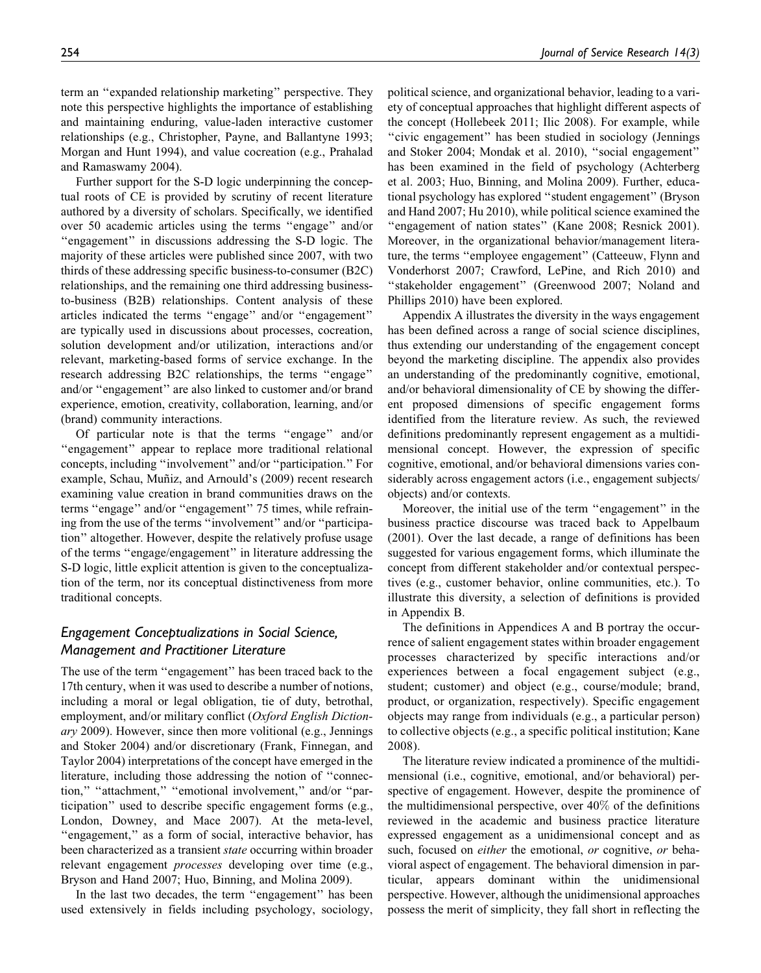term an ''expanded relationship marketing'' perspective. They note this perspective highlights the importance of establishing and maintaining enduring, value-laden interactive customer relationships (e.g., Christopher, Payne, and Ballantyne 1993; Morgan and Hunt 1994), and value cocreation (e.g., Prahalad and Ramaswamy 2004).

Further support for the S-D logic underpinning the conceptual roots of CE is provided by scrutiny of recent literature authored by a diversity of scholars. Specifically, we identified over 50 academic articles using the terms ''engage'' and/or ''engagement'' in discussions addressing the S-D logic. The majority of these articles were published since 2007, with two thirds of these addressing specific business-to-consumer (B2C) relationships, and the remaining one third addressing businessto-business (B2B) relationships. Content analysis of these articles indicated the terms ''engage'' and/or ''engagement'' are typically used in discussions about processes, cocreation, solution development and/or utilization, interactions and/or relevant, marketing-based forms of service exchange. In the research addressing B2C relationships, the terms ''engage'' and/or ''engagement'' are also linked to customer and/or brand experience, emotion, creativity, collaboration, learning, and/or (brand) community interactions.

Of particular note is that the terms ''engage'' and/or ''engagement'' appear to replace more traditional relational concepts, including ''involvement'' and/or ''participation.'' For example, Schau, Muñiz, and Arnould's (2009) recent research examining value creation in brand communities draws on the terms ''engage'' and/or ''engagement'' 75 times, while refraining from the use of the terms ''involvement'' and/or ''participation'' altogether. However, despite the relatively profuse usage of the terms ''engage/engagement'' in literature addressing the S-D logic, little explicit attention is given to the conceptualization of the term, nor its conceptual distinctiveness from more traditional concepts.

# Engagement Conceptualizations in Social Science, Management and Practitioner Literature

The use of the term ''engagement'' has been traced back to the 17th century, when it was used to describe a number of notions, including a moral or legal obligation, tie of duty, betrothal, employment, and/or military conflict (Oxford English Dictionary 2009). However, since then more volitional (e.g., Jennings and Stoker 2004) and/or discretionary (Frank, Finnegan, and Taylor 2004) interpretations of the concept have emerged in the literature, including those addressing the notion of ''connection," "attachment," "emotional involvement," and/or "participation'' used to describe specific engagement forms (e.g., London, Downey, and Mace 2007). At the meta-level, "engagement," as a form of social, interactive behavior, has been characterized as a transient *state* occurring within broader relevant engagement processes developing over time (e.g., Bryson and Hand 2007; Huo, Binning, and Molina 2009).

In the last two decades, the term ''engagement'' has been used extensively in fields including psychology, sociology, political science, and organizational behavior, leading to a variety of conceptual approaches that highlight different aspects of the concept (Hollebeek 2011; Ilic 2008). For example, while "civic engagement" has been studied in sociology (Jennings and Stoker 2004; Mondak et al. 2010), ''social engagement'' has been examined in the field of psychology (Achterberg et al. 2003; Huo, Binning, and Molina 2009). Further, educational psychology has explored ''student engagement'' (Bryson and Hand 2007; Hu 2010), while political science examined the ''engagement of nation states'' (Kane 2008; Resnick 2001). Moreover, in the organizational behavior/management literature, the terms "employee engagement" (Catteeuw, Flynn and Vonderhorst 2007; Crawford, LePine, and Rich 2010) and "stakeholder engagement" (Greenwood 2007; Noland and Phillips 2010) have been explored.

Appendix A illustrates the diversity in the ways engagement has been defined across a range of social science disciplines, thus extending our understanding of the engagement concept beyond the marketing discipline. The appendix also provides an understanding of the predominantly cognitive, emotional, and/or behavioral dimensionality of CE by showing the different proposed dimensions of specific engagement forms identified from the literature review. As such, the reviewed definitions predominantly represent engagement as a multidimensional concept. However, the expression of specific cognitive, emotional, and/or behavioral dimensions varies considerably across engagement actors (i.e., engagement subjects/ objects) and/or contexts.

Moreover, the initial use of the term ''engagement'' in the business practice discourse was traced back to Appelbaum (2001). Over the last decade, a range of definitions has been suggested for various engagement forms, which illuminate the concept from different stakeholder and/or contextual perspectives (e.g., customer behavior, online communities, etc.). To illustrate this diversity, a selection of definitions is provided in Appendix B.

The definitions in Appendices A and B portray the occurrence of salient engagement states within broader engagement processes characterized by specific interactions and/or experiences between a focal engagement subject (e.g., student; customer) and object (e.g., course/module; brand, product, or organization, respectively). Specific engagement objects may range from individuals (e.g., a particular person) to collective objects (e.g., a specific political institution; Kane 2008).

The literature review indicated a prominence of the multidimensional (i.e., cognitive, emotional, and/or behavioral) perspective of engagement. However, despite the prominence of the multidimensional perspective, over 40% of the definitions reviewed in the academic and business practice literature expressed engagement as a unidimensional concept and as such, focused on *either* the emotional, *or* cognitive, *or* behavioral aspect of engagement. The behavioral dimension in particular, appears dominant within the unidimensional perspective. However, although the unidimensional approaches possess the merit of simplicity, they fall short in reflecting the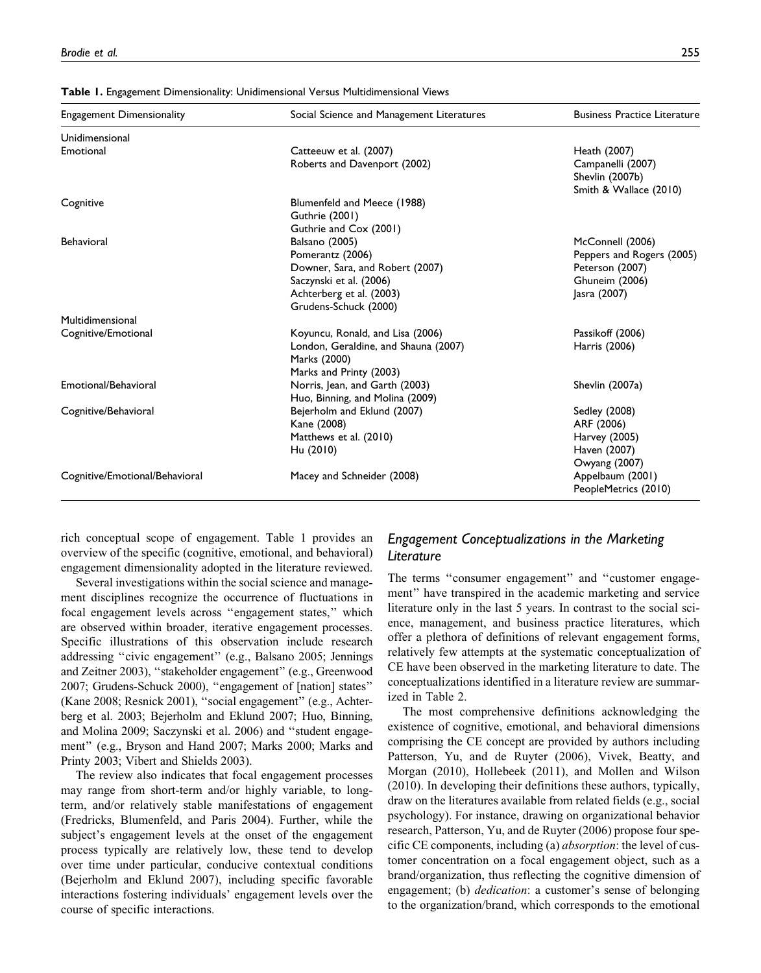| <b>Engagement Dimensionality</b> | Social Science and Management Literatures | <b>Business Practice Literature</b> |
|----------------------------------|-------------------------------------------|-------------------------------------|
| Unidimensional                   |                                           |                                     |
| Emotional                        | Catteeuw et al. (2007)                    | Heath (2007)                        |
|                                  | Roberts and Davenport (2002)              | Campanelli (2007)                   |
|                                  |                                           | Shevlin (2007b)                     |
|                                  |                                           | Smith & Wallace (2010)              |
| Cognitive                        | Blumenfeld and Meece (1988)               |                                     |
|                                  | Guthrie (2001)                            |                                     |
|                                  | Guthrie and Cox (2001)                    |                                     |
| Behavioral                       | Balsano (2005)                            | McConnell (2006)                    |
|                                  | Pomerantz (2006)                          | Peppers and Rogers (2005)           |
|                                  | Downer, Sara, and Robert (2007)           | Peterson (2007)                     |
|                                  | Saczynski et al. (2006)                   | Ghuneim (2006)                      |
|                                  | Achterberg et al. (2003)                  | Jasra (2007)                        |
|                                  | Grudens-Schuck (2000)                     |                                     |
| Multidimensional                 |                                           |                                     |
| Cognitive/Emotional              | Koyuncu, Ronald, and Lisa (2006)          | Passikoff (2006)                    |
|                                  | London, Geraldine, and Shauna (2007)      | Harris (2006)                       |
|                                  | Marks (2000)                              |                                     |
|                                  | Marks and Printy (2003)                   |                                     |
| Emotional/Behavioral             | Norris, Jean, and Garth (2003)            | Shevlin (2007a)                     |
|                                  | Huo, Binning, and Molina (2009)           |                                     |
| Cognitive/Behavioral             | Bejerholm and Eklund (2007)               | Sedley (2008)                       |
|                                  | Kane (2008)                               | ARF (2006)                          |
|                                  | Matthews et al. (2010)                    | Harvey (2005)                       |
|                                  | Hu (2010)                                 | Haven (2007)                        |
|                                  |                                           | Owyang (2007)                       |
| Cognitive/Emotional/Behavioral   | Macey and Schneider (2008)                | Appelbaum (2001)                    |
|                                  |                                           | PeopleMetrics (2010)                |

Table 1. Engagement Dimensionality: Unidimensional Versus Multidimensional Views

rich conceptual scope of engagement. Table 1 provides an overview of the specific (cognitive, emotional, and behavioral) engagement dimensionality adopted in the literature reviewed.

Several investigations within the social science and management disciplines recognize the occurrence of fluctuations in focal engagement levels across ''engagement states,'' which are observed within broader, iterative engagement processes. Specific illustrations of this observation include research addressing ''civic engagement'' (e.g., Balsano 2005; Jennings and Zeitner 2003), ''stakeholder engagement'' (e.g., Greenwood 2007; Grudens-Schuck 2000), ''engagement of [nation] states'' (Kane 2008; Resnick 2001), ''social engagement'' (e.g., Achterberg et al. 2003; Bejerholm and Eklund 2007; Huo, Binning, and Molina 2009; Saczynski et al. 2006) and ''student engagement'' (e.g., Bryson and Hand 2007; Marks 2000; Marks and Printy 2003; Vibert and Shields 2003).

The review also indicates that focal engagement processes may range from short-term and/or highly variable, to longterm, and/or relatively stable manifestations of engagement (Fredricks, Blumenfeld, and Paris 2004). Further, while the subject's engagement levels at the onset of the engagement process typically are relatively low, these tend to develop over time under particular, conducive contextual conditions (Bejerholm and Eklund 2007), including specific favorable interactions fostering individuals' engagement levels over the course of specific interactions.

# Engagement Conceptualizations in the Marketing Literature

The terms "consumer engagement" and "customer engagement'' have transpired in the academic marketing and service literature only in the last 5 years. In contrast to the social science, management, and business practice literatures, which offer a plethora of definitions of relevant engagement forms, relatively few attempts at the systematic conceptualization of CE have been observed in the marketing literature to date. The conceptualizations identified in a literature review are summarized in Table 2.

The most comprehensive definitions acknowledging the existence of cognitive, emotional, and behavioral dimensions comprising the CE concept are provided by authors including Patterson, Yu, and de Ruyter (2006), Vivek, Beatty, and Morgan (2010), Hollebeek (2011), and Mollen and Wilson (2010). In developing their definitions these authors, typically, draw on the literatures available from related fields (e.g., social psychology). For instance, drawing on organizational behavior research, Patterson, Yu, and de Ruyter (2006) propose four specific CE components, including (a) absorption: the level of customer concentration on a focal engagement object, such as a brand/organization, thus reflecting the cognitive dimension of engagement; (b) dedication: a customer's sense of belonging to the organization/brand, which corresponds to the emotional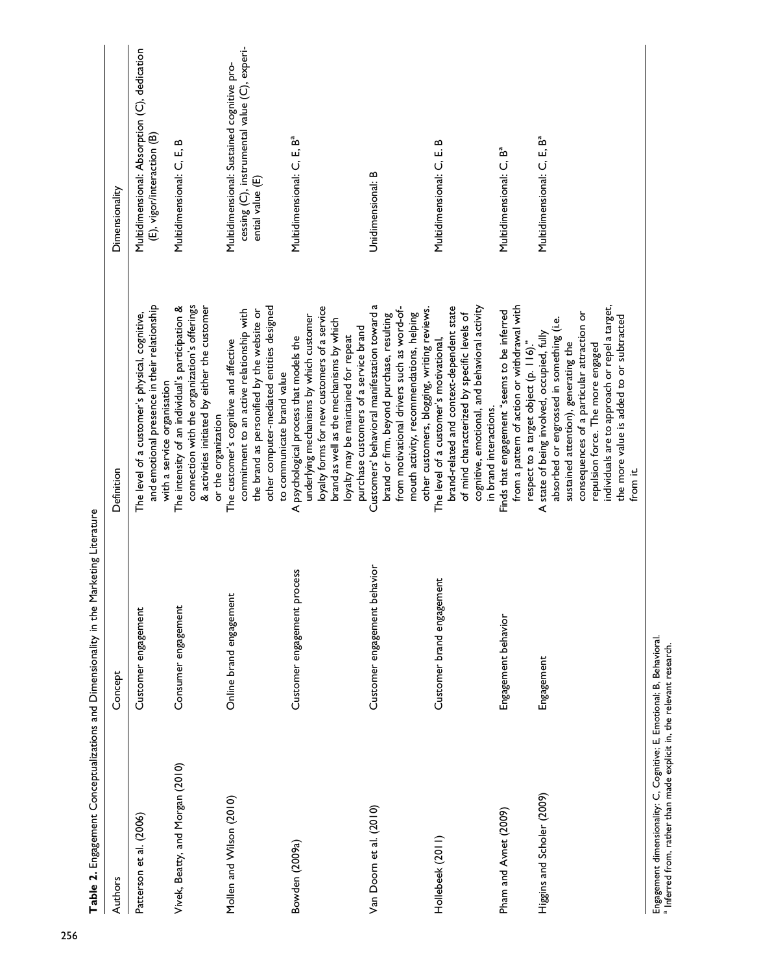|                                  | Table 2. Engagement Conceptualizations and Dimensionality in the Marketing Literature |                                                                                                                                                                                                                                                                                                                                                        |                                                                                                                |
|----------------------------------|---------------------------------------------------------------------------------------|--------------------------------------------------------------------------------------------------------------------------------------------------------------------------------------------------------------------------------------------------------------------------------------------------------------------------------------------------------|----------------------------------------------------------------------------------------------------------------|
| Authors                          | Concept                                                                               | Definition                                                                                                                                                                                                                                                                                                                                             | Dimensionality                                                                                                 |
| Patterson et al. (2006)          | Customer engagement                                                                   | and emotional presence in their relationship<br>The level of a customer's physical, cognitive,<br>with a service organisation                                                                                                                                                                                                                          | Multidimensional: Absorption (C), dedication<br>(E), vigor/interaction (B)                                     |
| Vivek, Beatty, and Morgan (2010) | Consumer engagement                                                                   | connection with the organization's offerings<br>& activities initiated by either the customer<br>The intensity of an individual's participation &                                                                                                                                                                                                      | ≃<br>Multidimensional: C, E,                                                                                   |
| Mollen and Wilson (2010)         | Online brand engagement                                                               | other computer-mediated entities designed<br>commitment to an active relationship with<br>the brand as personified by the website or<br>The customer's cognitive and affective<br>or the organization                                                                                                                                                  | cessing (C), instrumental value (C), experi-<br>Multidimensional: Sustained cognitive pro-<br>ential value (E) |
| Bowden (2009a)                   | Customer engagement process                                                           | loyalty forms for new customers of a service<br>underlying mechanisms by which customer<br>A psychological process that models the<br>to communicate brand value                                                                                                                                                                                       | Multidimensional: C, E, B <sup>a</sup>                                                                         |
| Van Doorn et al. (2010)          | Customer engagement behavior                                                          | Customers' behavioral manifestation toward a<br>from motivational drivers such as word-of-<br>brand or firm, beyond purchase, resulting<br>brand as well as the mechanisms by which<br>purchase customers of a service brand<br>loyalty may be maintained for repeat                                                                                   | Unidimensional: B                                                                                              |
| Hollebeek (2011)                 | Customer brand engagement                                                             | cognitive, emotional, and behavioral activity<br>brand-related and context-dependent state<br>other customers, blogging, writing reviews.<br>mouth activity, recommendations, helping<br>of mind characterized by specific levels of<br>The level of a customer's motivational,                                                                        | ≃<br>Multidimensional: C, E.                                                                                   |
| Pham and Avnet (2009)            | Engagement behavior                                                                   | from a pattern of action or withdrawal with<br>Finds that engagement "seems to be inferred<br>in brand interactions.                                                                                                                                                                                                                                   | Multidimensional: C, B <sup>a</sup>                                                                            |
| Higgins and Scholer (2009)       | Engagement                                                                            | individuals are to approach or repel a target,<br>consequences of a particular attraction or<br>the more value is added to or subtracted<br>absorbed or engrossed in something (i.e.<br>A state of being involved, occupied, fully<br>sustained attention), generating the<br>repulsion force. The more engaged<br>respect to a target object (p. 116) | ឹ<br>Multidimensional: C, E,                                                                                   |
|                                  |                                                                                       | from it.                                                                                                                                                                                                                                                                                                                                               |                                                                                                                |

Engagement dimensionality: C, Cognitive; E, Emotional; B, Behavioral. Engagement dimensionality: C, Cognitive; E, Emotional; B, Behavioral.<br><sup>a</sup> Inferred from, rather than made explicit in, the relevant research. Inferred from, rather than made explicit in, the relevant research.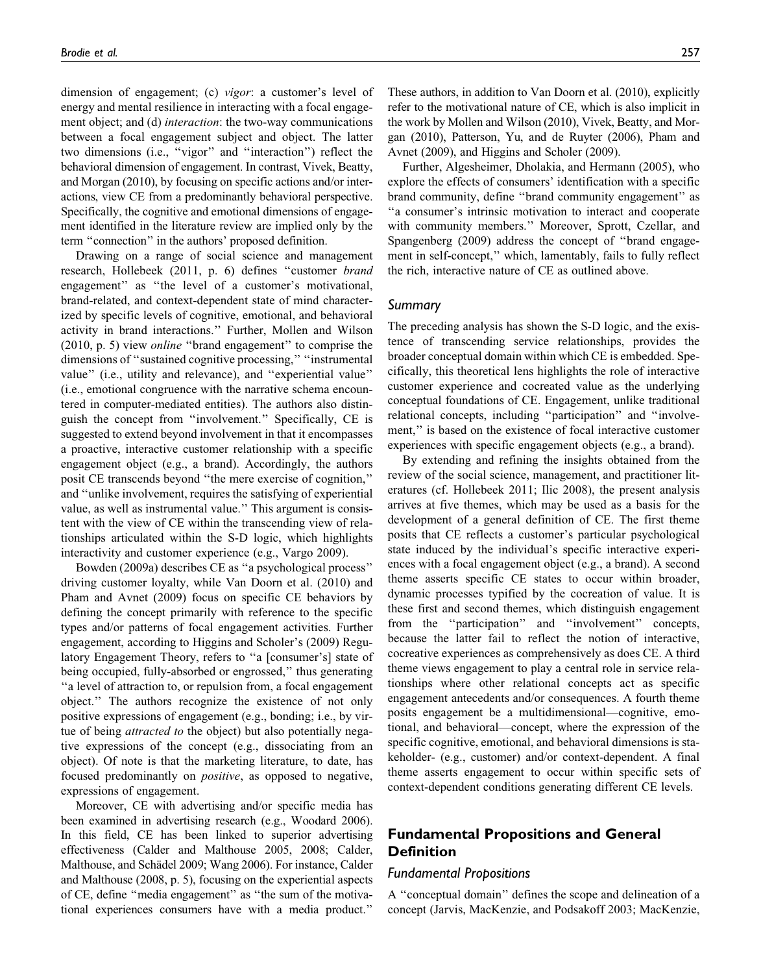dimension of engagement; (c) vigor: a customer's level of energy and mental resilience in interacting with a focal engagement object; and (d) *interaction*: the two-way communications between a focal engagement subject and object. The latter two dimensions (i.e., ''vigor'' and ''interaction'') reflect the behavioral dimension of engagement. In contrast, Vivek, Beatty, and Morgan (2010), by focusing on specific actions and/or interactions, view CE from a predominantly behavioral perspective. Specifically, the cognitive and emotional dimensions of engagement identified in the literature review are implied only by the term ''connection'' in the authors' proposed definition.

Drawing on a range of social science and management research, Hollebeek (2011, p. 6) defines ''customer brand engagement'' as ''the level of a customer's motivational, brand-related, and context-dependent state of mind characterized by specific levels of cognitive, emotional, and behavioral activity in brand interactions.'' Further, Mollen and Wilson (2010, p. 5) view online ''brand engagement'' to comprise the dimensions of ''sustained cognitive processing,'' ''instrumental value'' (i.e., utility and relevance), and ''experiential value'' (i.e., emotional congruence with the narrative schema encountered in computer-mediated entities). The authors also distinguish the concept from ''involvement.'' Specifically, CE is suggested to extend beyond involvement in that it encompasses a proactive, interactive customer relationship with a specific engagement object (e.g., a brand). Accordingly, the authors posit CE transcends beyond ''the mere exercise of cognition,'' and ''unlike involvement, requires the satisfying of experiential value, as well as instrumental value.'' This argument is consistent with the view of CE within the transcending view of relationships articulated within the S-D logic, which highlights interactivity and customer experience (e.g., Vargo 2009).

Bowden (2009a) describes CE as ''a psychological process'' driving customer loyalty, while Van Doorn et al. (2010) and Pham and Avnet (2009) focus on specific CE behaviors by defining the concept primarily with reference to the specific types and/or patterns of focal engagement activities. Further engagement, according to Higgins and Scholer's (2009) Regulatory Engagement Theory, refers to ''a [consumer's] state of being occupied, fully-absorbed or engrossed,'' thus generating ''a level of attraction to, or repulsion from, a focal engagement object.'' The authors recognize the existence of not only positive expressions of engagement (e.g., bonding; i.e., by virtue of being *attracted to* the object) but also potentially negative expressions of the concept (e.g., dissociating from an object). Of note is that the marketing literature, to date, has focused predominantly on *positive*, as opposed to negative, expressions of engagement.

Moreover, CE with advertising and/or specific media has been examined in advertising research (e.g., Woodard 2006). In this field, CE has been linked to superior advertising effectiveness (Calder and Malthouse 2005, 2008; Calder, Malthouse, and Schädel 2009; Wang 2006). For instance, Calder and Malthouse (2008, p. 5), focusing on the experiential aspects of CE, define ''media engagement'' as ''the sum of the motivational experiences consumers have with a media product.''

These authors, in addition to Van Doorn et al. (2010), explicitly refer to the motivational nature of CE, which is also implicit in the work by Mollen and Wilson (2010), Vivek, Beatty, and Morgan (2010), Patterson, Yu, and de Ruyter (2006), Pham and Avnet (2009), and Higgins and Scholer (2009).

Further, Algesheimer, Dholakia, and Hermann (2005), who explore the effects of consumers' identification with a specific brand community, define ''brand community engagement'' as ''a consumer's intrinsic motivation to interact and cooperate with community members.'' Moreover, Sprott, Czellar, and Spangenberg (2009) address the concept of ''brand engagement in self-concept,'' which, lamentably, fails to fully reflect the rich, interactive nature of CE as outlined above.

## **Summary**

The preceding analysis has shown the S-D logic, and the existence of transcending service relationships, provides the broader conceptual domain within which CE is embedded. Specifically, this theoretical lens highlights the role of interactive customer experience and cocreated value as the underlying conceptual foundations of CE. Engagement, unlike traditional relational concepts, including ''participation'' and ''involvement," is based on the existence of focal interactive customer experiences with specific engagement objects (e.g., a brand).

By extending and refining the insights obtained from the review of the social science, management, and practitioner literatures (cf. Hollebeek 2011; Ilic 2008), the present analysis arrives at five themes, which may be used as a basis for the development of a general definition of CE. The first theme posits that CE reflects a customer's particular psychological state induced by the individual's specific interactive experiences with a focal engagement object (e.g., a brand). A second theme asserts specific CE states to occur within broader, dynamic processes typified by the cocreation of value. It is these first and second themes, which distinguish engagement from the ''participation'' and ''involvement'' concepts, because the latter fail to reflect the notion of interactive, cocreative experiences as comprehensively as does CE. A third theme views engagement to play a central role in service relationships where other relational concepts act as specific engagement antecedents and/or consequences. A fourth theme posits engagement be a multidimensional—cognitive, emotional, and behavioral—concept, where the expression of the specific cognitive, emotional, and behavioral dimensions is stakeholder- (e.g., customer) and/or context-dependent. A final theme asserts engagement to occur within specific sets of context-dependent conditions generating different CE levels.

# Fundamental Propositions and General **Definition**

## Fundamental Propositions

A ''conceptual domain'' defines the scope and delineation of a concept (Jarvis, MacKenzie, and Podsakoff 2003; MacKenzie,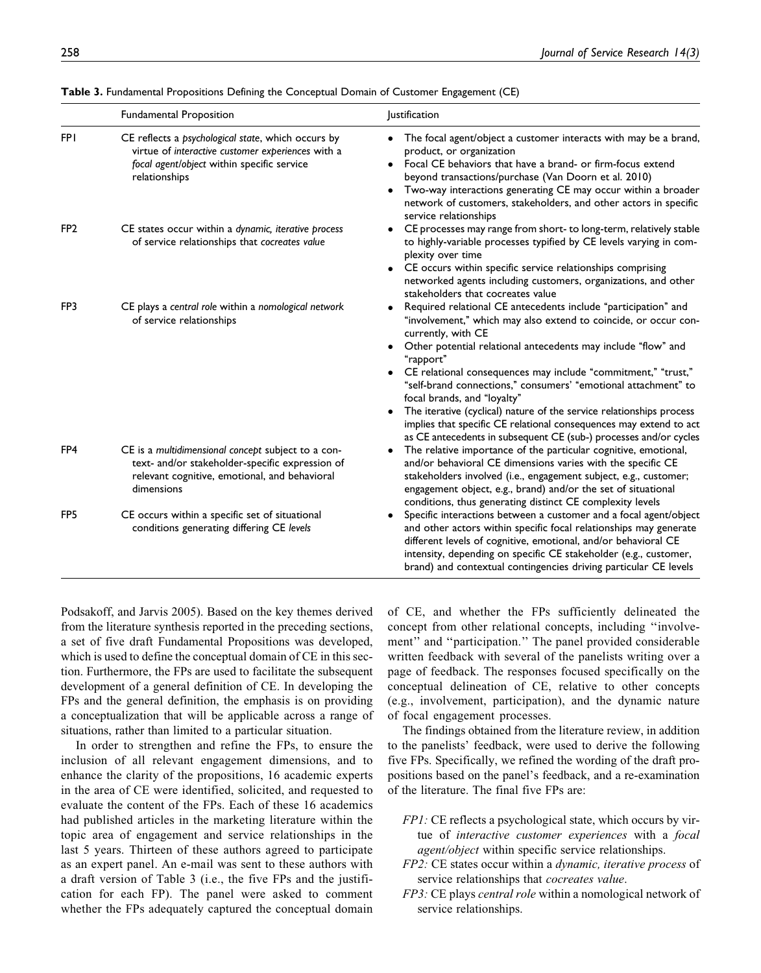|                 | Fundamental Proposition                                                                                                                                                | Justification                                                                                                                                                                                                                                                                                                                                                                                                                                                                                                                                                                                                                   |
|-----------------|------------------------------------------------------------------------------------------------------------------------------------------------------------------------|---------------------------------------------------------------------------------------------------------------------------------------------------------------------------------------------------------------------------------------------------------------------------------------------------------------------------------------------------------------------------------------------------------------------------------------------------------------------------------------------------------------------------------------------------------------------------------------------------------------------------------|
| <b>FPI</b>      | CE reflects a psychological state, which occurs by<br>virtue of interactive customer experiences with a<br>focal agent/object within specific service<br>relationships | The focal agent/object a customer interacts with may be a brand,<br>$\bullet$<br>product, or organization<br>Focal CE behaviors that have a brand- or firm-focus extend<br>$\bullet$<br>beyond transactions/purchase (Van Doorn et al. 2010)<br>Two-way interactions generating CE may occur within a broader<br>$\bullet$<br>network of customers, stakeholders, and other actors in specific<br>service relationships                                                                                                                                                                                                         |
| FP <sub>2</sub> | CE states occur within a dynamic, iterative process<br>of service relationships that cocreates value                                                                   | CE processes may range from short- to long-term, relatively stable<br>to highly-variable processes typified by CE levels varying in com-<br>plexity over time<br>CE occurs within specific service relationships comprising<br>networked agents including customers, organizations, and other<br>stakeholders that cocreates value                                                                                                                                                                                                                                                                                              |
| FP3             | CE plays a central role within a nomological network<br>of service relationships                                                                                       | Required relational CE antecedents include "participation" and<br>"involvement," which may also extend to coincide, or occur con-<br>currently, with CE<br>Other potential relational antecedents may include "flow" and<br>"rapport"<br>CE relational consequences may include "commitment," "trust,"<br>"self-brand connections," consumers' "emotional attachment" to<br>focal brands, and "loyalty"<br>The iterative (cyclical) nature of the service relationships process<br>٠<br>implies that specific CE relational consequences may extend to act<br>as CE antecedents in subsequent CE (sub-) processes and/or cycles |
| FP <sub>4</sub> | CE is a multidimensional concept subject to a con-<br>text- and/or stakeholder-specific expression of<br>relevant cognitive, emotional, and behavioral<br>dimensions   | The relative importance of the particular cognitive, emotional,<br>and/or behavioral CE dimensions varies with the specific CE<br>stakeholders involved (i.e., engagement subject, e.g., customer;<br>engagement object, e.g., brand) and/or the set of situational<br>conditions, thus generating distinct CE complexity levels                                                                                                                                                                                                                                                                                                |
| FP <sub>5</sub> | CE occurs within a specific set of situational<br>conditions generating differing CE levels                                                                            | Specific interactions between a customer and a focal agent/object<br>and other actors within specific focal relationships may generate<br>different levels of cognitive, emotional, and/or behavioral CE<br>intensity, depending on specific CE stakeholder (e.g., customer,<br>brand) and contextual contingencies driving particular CE levels                                                                                                                                                                                                                                                                                |

Table 3. Fundamental Propositions Defining the Conceptual Domain of Customer Engagement (CE)

Podsakoff, and Jarvis 2005). Based on the key themes derived from the literature synthesis reported in the preceding sections, a set of five draft Fundamental Propositions was developed, which is used to define the conceptual domain of CE in this section. Furthermore, the FPs are used to facilitate the subsequent development of a general definition of CE. In developing the FPs and the general definition, the emphasis is on providing a conceptualization that will be applicable across a range of situations, rather than limited to a particular situation.

In order to strengthen and refine the FPs, to ensure the inclusion of all relevant engagement dimensions, and to enhance the clarity of the propositions, 16 academic experts in the area of CE were identified, solicited, and requested to evaluate the content of the FPs. Each of these 16 academics had published articles in the marketing literature within the topic area of engagement and service relationships in the last 5 years. Thirteen of these authors agreed to participate as an expert panel. An e-mail was sent to these authors with a draft version of Table 3 (i.e., the five FPs and the justification for each FP). The panel were asked to comment whether the FPs adequately captured the conceptual domain of CE, and whether the FPs sufficiently delineated the concept from other relational concepts, including ''involvement'' and ''participation.'' The panel provided considerable written feedback with several of the panelists writing over a page of feedback. The responses focused specifically on the conceptual delineation of CE, relative to other concepts (e.g., involvement, participation), and the dynamic nature of focal engagement processes.

The findings obtained from the literature review, in addition to the panelists' feedback, were used to derive the following five FPs. Specifically, we refined the wording of the draft propositions based on the panel's feedback, and a re-examination of the literature. The final five FPs are:

- FP1: CE reflects a psychological state, which occurs by virtue of interactive customer experiences with a focal agent/object within specific service relationships.
- FP2: CE states occur within a dynamic, iterative process of service relationships that cocreates value.
- FP3: CE plays central role within a nomological network of service relationships.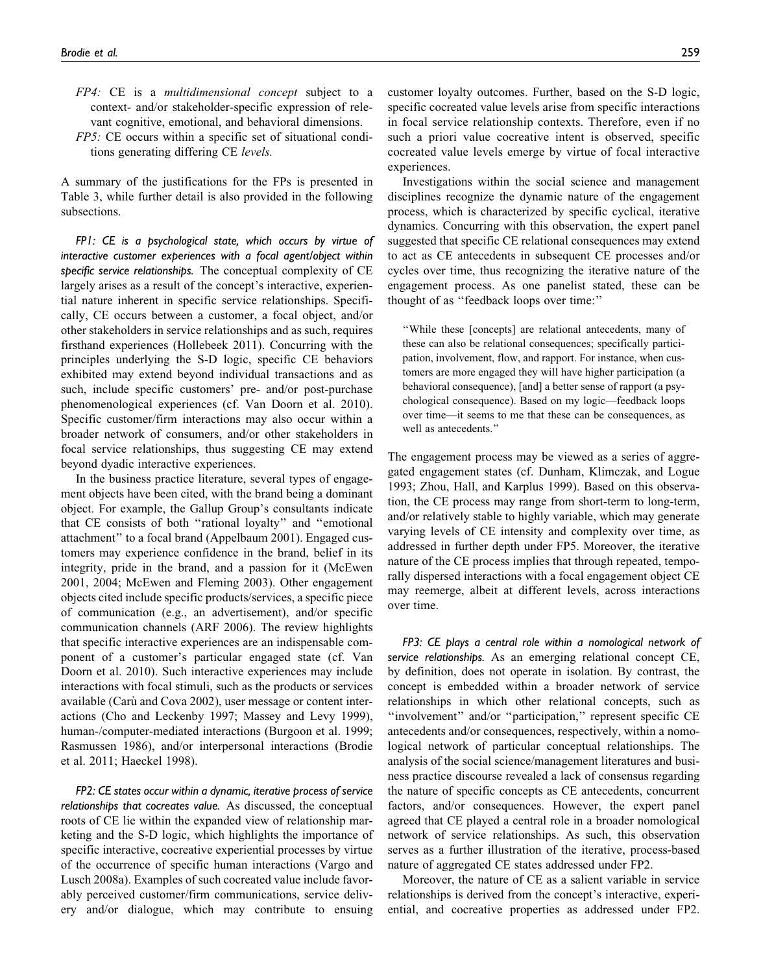- FP4: CE is a multidimensional concept subject to a context- and/or stakeholder-specific expression of relevant cognitive, emotional, and behavioral dimensions.
- FP5: CE occurs within a specific set of situational conditions generating differing CE levels.

A summary of the justifications for the FPs is presented in Table 3, while further detail is also provided in the following subsections.

FP1: CE is a psychological state, which occurs by virtue of interactive customer experiences with a focal agent/object within specific service relationships. The conceptual complexity of CE largely arises as a result of the concept's interactive, experiential nature inherent in specific service relationships. Specifically, CE occurs between a customer, a focal object, and/or other stakeholders in service relationships and as such, requires firsthand experiences (Hollebeek 2011). Concurring with the principles underlying the S-D logic, specific CE behaviors exhibited may extend beyond individual transactions and as such, include specific customers' pre- and/or post-purchase phenomenological experiences (cf. Van Doorn et al. 2010). Specific customer/firm interactions may also occur within a broader network of consumers, and/or other stakeholders in focal service relationships, thus suggesting CE may extend beyond dyadic interactive experiences.

In the business practice literature, several types of engagement objects have been cited, with the brand being a dominant object. For example, the Gallup Group's consultants indicate that CE consists of both ''rational loyalty'' and ''emotional attachment'' to a focal brand (Appelbaum 2001). Engaged customers may experience confidence in the brand, belief in its integrity, pride in the brand, and a passion for it (McEwen 2001, 2004; McEwen and Fleming 2003). Other engagement objects cited include specific products/services, a specific piece of communication (e.g., an advertisement), and/or specific communication channels (ARF 2006). The review highlights that specific interactive experiences are an indispensable component of a customer's particular engaged state (cf. Van Doorn et al. 2010). Such interactive experiences may include interactions with focal stimuli, such as the products or services available (Carù and Cova 2002), user message or content interactions (Cho and Leckenby 1997; Massey and Levy 1999), human-/computer-mediated interactions (Burgoon et al. 1999; Rasmussen 1986), and/or interpersonal interactions (Brodie et al. 2011; Haeckel 1998).

FP2: CE states occur within a dynamic, iterative process of service relationships that cocreates value. As discussed, the conceptual roots of CE lie within the expanded view of relationship marketing and the S-D logic, which highlights the importance of specific interactive, cocreative experiential processes by virtue of the occurrence of specific human interactions (Vargo and Lusch 2008a). Examples of such cocreated value include favorably perceived customer/firm communications, service delivery and/or dialogue, which may contribute to ensuing customer loyalty outcomes. Further, based on the S-D logic, specific cocreated value levels arise from specific interactions in focal service relationship contexts. Therefore, even if no such a priori value cocreative intent is observed, specific cocreated value levels emerge by virtue of focal interactive experiences.

Investigations within the social science and management disciplines recognize the dynamic nature of the engagement process, which is characterized by specific cyclical, iterative dynamics. Concurring with this observation, the expert panel suggested that specific CE relational consequences may extend to act as CE antecedents in subsequent CE processes and/or cycles over time, thus recognizing the iterative nature of the engagement process. As one panelist stated, these can be thought of as ''feedback loops over time:''

''While these [concepts] are relational antecedents, many of these can also be relational consequences; specifically participation, involvement, flow, and rapport. For instance, when customers are more engaged they will have higher participation (a behavioral consequence), [and] a better sense of rapport (a psychological consequence). Based on my logic—feedback loops over time—it seems to me that these can be consequences, as well as antecedents.''

The engagement process may be viewed as a series of aggregated engagement states (cf. Dunham, Klimczak, and Logue 1993; Zhou, Hall, and Karplus 1999). Based on this observation, the CE process may range from short-term to long-term, and/or relatively stable to highly variable, which may generate varying levels of CE intensity and complexity over time, as addressed in further depth under FP5. Moreover, the iterative nature of the CE process implies that through repeated, temporally dispersed interactions with a focal engagement object CE may reemerge, albeit at different levels, across interactions over time.

FP3: CE plays a central role within a nomological network of service relationships. As an emerging relational concept CE, by definition, does not operate in isolation. By contrast, the concept is embedded within a broader network of service relationships in which other relational concepts, such as ''involvement'' and/or ''participation,'' represent specific CE antecedents and/or consequences, respectively, within a nomological network of particular conceptual relationships. The analysis of the social science/management literatures and business practice discourse revealed a lack of consensus regarding the nature of specific concepts as CE antecedents, concurrent factors, and/or consequences. However, the expert panel agreed that CE played a central role in a broader nomological network of service relationships. As such, this observation serves as a further illustration of the iterative, process-based nature of aggregated CE states addressed under FP2.

Moreover, the nature of CE as a salient variable in service relationships is derived from the concept's interactive, experiential, and cocreative properties as addressed under FP2.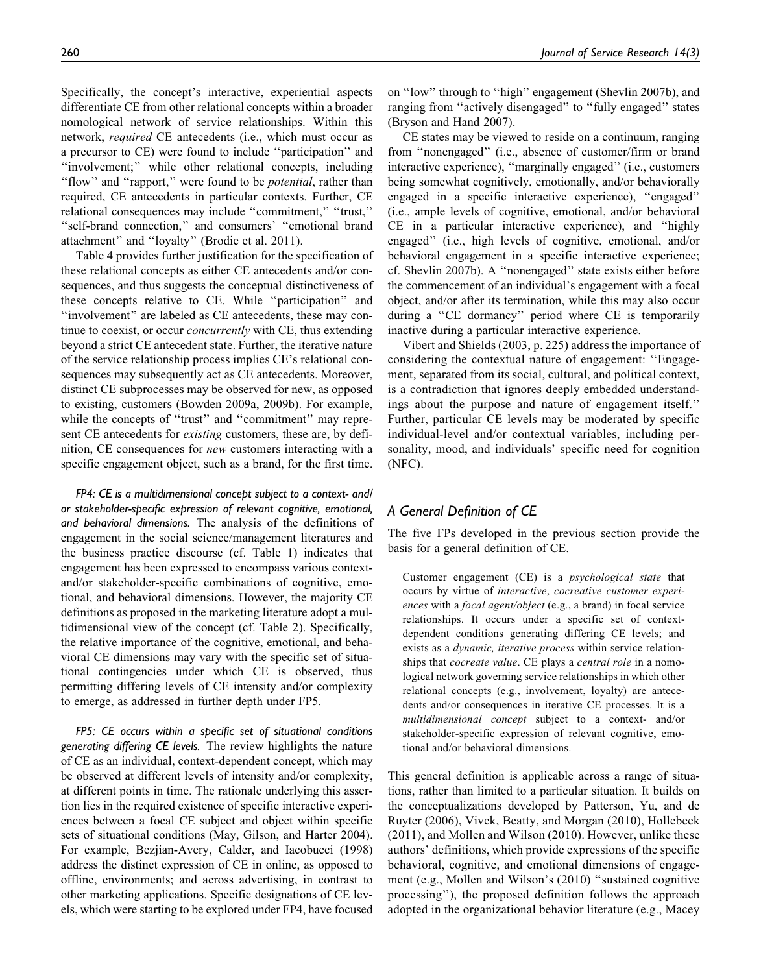Specifically, the concept's interactive, experiential aspects differentiate CE from other relational concepts within a broader nomological network of service relationships. Within this network, required CE antecedents (i.e., which must occur as a precursor to CE) were found to include ''participation'' and "involvement;" while other relational concepts, including "flow" and "rapport," were found to be *potential*, rather than required, CE antecedents in particular contexts. Further, CE relational consequences may include ''commitment,'' ''trust,'' ''self-brand connection,'' and consumers' ''emotional brand attachment'' and ''loyalty'' (Brodie et al. 2011).

Table 4 provides further justification for the specification of these relational concepts as either CE antecedents and/or consequences, and thus suggests the conceptual distinctiveness of these concepts relative to CE. While ''participation'' and ''involvement'' are labeled as CE antecedents, these may continue to coexist, or occur *concurrently* with CE, thus extending beyond a strict CE antecedent state. Further, the iterative nature of the service relationship process implies CE's relational consequences may subsequently act as CE antecedents. Moreover, distinct CE subprocesses may be observed for new, as opposed to existing, customers (Bowden 2009a, 2009b). For example, while the concepts of "trust" and "commitment" may represent CE antecedents for *existing* customers, these are, by definition, CE consequences for new customers interacting with a specific engagement object, such as a brand, for the first time.

FP4: CE is a multidimensional concept subject to a context- and/ or stakeholder-specific expression of relevant cognitive, emotional, and behavioral dimensions. The analysis of the definitions of engagement in the social science/management literatures and the business practice discourse (cf. Table 1) indicates that engagement has been expressed to encompass various contextand/or stakeholder-specific combinations of cognitive, emotional, and behavioral dimensions. However, the majority CE definitions as proposed in the marketing literature adopt a multidimensional view of the concept (cf. Table 2). Specifically, the relative importance of the cognitive, emotional, and behavioral CE dimensions may vary with the specific set of situational contingencies under which CE is observed, thus permitting differing levels of CE intensity and/or complexity to emerge, as addressed in further depth under FP5.

FP5: CE occurs within a specific set of situational conditions generating differing CE levels. The review highlights the nature of CE as an individual, context-dependent concept, which may be observed at different levels of intensity and/or complexity, at different points in time. The rationale underlying this assertion lies in the required existence of specific interactive experiences between a focal CE subject and object within specific sets of situational conditions (May, Gilson, and Harter 2004). For example, Bezjian-Avery, Calder, and Iacobucci (1998) address the distinct expression of CE in online, as opposed to offline, environments; and across advertising, in contrast to other marketing applications. Specific designations of CE levels, which were starting to be explored under FP4, have focused on ''low'' through to ''high'' engagement (Shevlin 2007b), and ranging from ''actively disengaged'' to ''fully engaged'' states (Bryson and Hand 2007).

CE states may be viewed to reside on a continuum, ranging from ''nonengaged'' (i.e., absence of customer/firm or brand interactive experience), ''marginally engaged'' (i.e., customers being somewhat cognitively, emotionally, and/or behaviorally engaged in a specific interactive experience), ''engaged'' (i.e., ample levels of cognitive, emotional, and/or behavioral CE in a particular interactive experience), and ''highly engaged'' (i.e., high levels of cognitive, emotional, and/or behavioral engagement in a specific interactive experience; cf. Shevlin 2007b). A ''nonengaged'' state exists either before the commencement of an individual's engagement with a focal object, and/or after its termination, while this may also occur during a ''CE dormancy'' period where CE is temporarily inactive during a particular interactive experience.

Vibert and Shields (2003, p. 225) address the importance of considering the contextual nature of engagement: ''Engagement, separated from its social, cultural, and political context, is a contradiction that ignores deeply embedded understandings about the purpose and nature of engagement itself.'' Further, particular CE levels may be moderated by specific individual-level and/or contextual variables, including personality, mood, and individuals' specific need for cognition (NFC).

# A General Definition of CE

The five FPs developed in the previous section provide the basis for a general definition of CE.

Customer engagement (CE) is a psychological state that occurs by virtue of interactive, cocreative customer experiences with a focal agent/object (e.g., a brand) in focal service relationships. It occurs under a specific set of contextdependent conditions generating differing CE levels; and exists as a *dynamic, iterative process* within service relationships that *cocreate value*. CE plays a *central role* in a nomological network governing service relationships in which other relational concepts (e.g., involvement, loyalty) are antecedents and/or consequences in iterative CE processes. It is a multidimensional concept subject to a context- and/or stakeholder-specific expression of relevant cognitive, emotional and/or behavioral dimensions.

This general definition is applicable across a range of situations, rather than limited to a particular situation. It builds on the conceptualizations developed by Patterson, Yu, and de Ruyter (2006), Vivek, Beatty, and Morgan (2010), Hollebeek (2011), and Mollen and Wilson (2010). However, unlike these authors' definitions, which provide expressions of the specific behavioral, cognitive, and emotional dimensions of engagement (e.g., Mollen and Wilson's (2010) ''sustained cognitive processing''), the proposed definition follows the approach adopted in the organizational behavior literature (e.g., Macey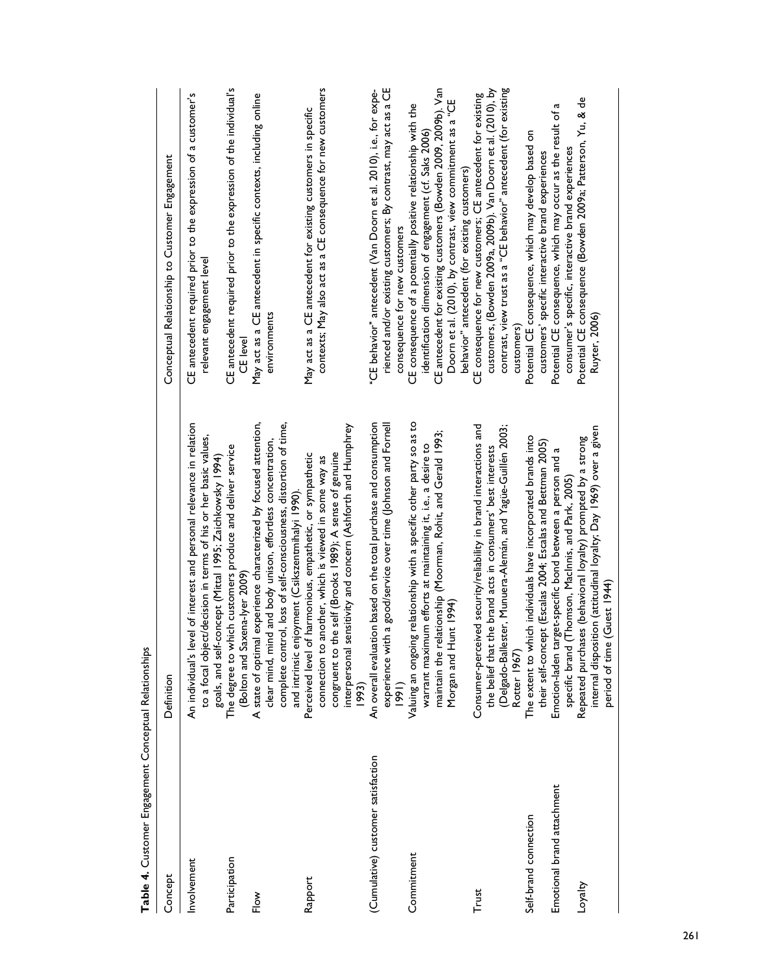| Table 4. Customer Engagement Conceptual Relationships |                                                                                                                                                                                                                                                                                        |                                                                                                                                                                                                                                                                                                           |
|-------------------------------------------------------|----------------------------------------------------------------------------------------------------------------------------------------------------------------------------------------------------------------------------------------------------------------------------------------|-----------------------------------------------------------------------------------------------------------------------------------------------------------------------------------------------------------------------------------------------------------------------------------------------------------|
| Concept                                               | Definition                                                                                                                                                                                                                                                                             | Conceptual Relationship to Customer Engagement                                                                                                                                                                                                                                                            |
| Involvement                                           | An individual's level of interest and personal relevance in relation<br>to a focal object/decision in terms of his or her basic values,<br>goals, and self-concept (Mittal 1995; Zaichkowsky 1994)                                                                                     | CE antecedent required prior to the expression of a customer's<br>relevant engagement level                                                                                                                                                                                                               |
| Participation                                         | The degree to which customers produce and deliver service<br>(Bolton and Saxena-Iyer 2009)                                                                                                                                                                                             | CE antecedent required prior to the expression of the individual's<br>CE level                                                                                                                                                                                                                            |
| Flow                                                  | A state of optimal experience characterized by focused attention,<br>complete control, loss of self-consciousness, distortion of time,<br>clear mind, mind and body unison, effortless concentration,<br>and intrinsic enjoyment (Csikszentmihalyi 1990).                              | May act as a CE antecedent in specific contexts, including online<br>environments                                                                                                                                                                                                                         |
| Rapport                                               | interpersonal sensitivity and concern (Ashforth and Humphrey<br>congruent to the self (Brooks 1989); A sense of genuine<br>Perceived level of harmonious, empathetic, or sympathetic<br>connection to another, which is viewed in some way as<br>(6661                                 | contexts; May also act as a CE consequence for new customers<br>May act as a CE antecedent for existing customers in specific                                                                                                                                                                             |
| (Cumulative) customer satisfaction                    | An overall evaluation based on the total purchase and consumption<br>experience with a good/service over time (Johnson and Fornell<br> 99                                                                                                                                              | rienced and/or existing customers; By contrast, may act as a CE<br>"CE behavior" antecedent (Van Doorn et al. 2010), i.e., for expe-<br>consequence for new customers                                                                                                                                     |
| Commitment                                            | Valuing an ongoing relationship with a specific other party so as to<br>maintain the relationship (Moorman, Rohit, and Gerald 1993;<br>warrant maximum efforts at maintaining it, i.e., a desire to<br>Morgan and Hunt 1994)                                                           | CE antecedent for existing customers (Bowden 2009, 2009b). Van<br>Doorn et al. (2010), by contrast, view commitment as a "CE<br>CE consequence of a potentially positive relationship with the<br>identification dimension of engagement (cf. Saks 2006)<br>behavior" antecedent (for existing customers) |
| Trust                                                 | Consumer-perceived security/reliability in brand interactions and<br>(Delgado-Ballester, Munuera-Alemán, and Yagüe-Guillén 2003;<br>the brand acts in consumers' best interests<br>the belief that<br>Rotter 1967)                                                                     | customers, (Bowden 2009a, 2009b). Van Doorn et al. (2010), by<br>contrast, view trust as a "CE behavior" antecedent (for existing<br>CE consequence for new customers; CE antecedent for existing<br>customers)                                                                                           |
| Self-brand connection                                 | The extent to which individuals have incorporated brands into<br>their self-concept (Escalas 2004; Escalas and Bettman 2005)                                                                                                                                                           | Potential CE consequence, which may develop based on<br>customers' specific interactive brand experiences                                                                                                                                                                                                 |
| Emotional brand attachment<br>Loyalty                 | internal disposition (attitudinal loyalty; Day 1969) over a given<br>Repeated purchases (behavioral loyalty) prompted by a strong<br>Emotion-laden target-specific bond between a person and a<br>(Thomson, MacInnis, and Park, 2005)<br>period of time (Guest 1944)<br>specific brand | Potential CE consequence (Bowden 2009a; Patterson, Yu, & de<br>Potential CE consequence, which may occur as the result of a<br>consumer's specific, interactive brand experiences<br>Ruyter, 2006)                                                                                                        |
|                                                       |                                                                                                                                                                                                                                                                                        |                                                                                                                                                                                                                                                                                                           |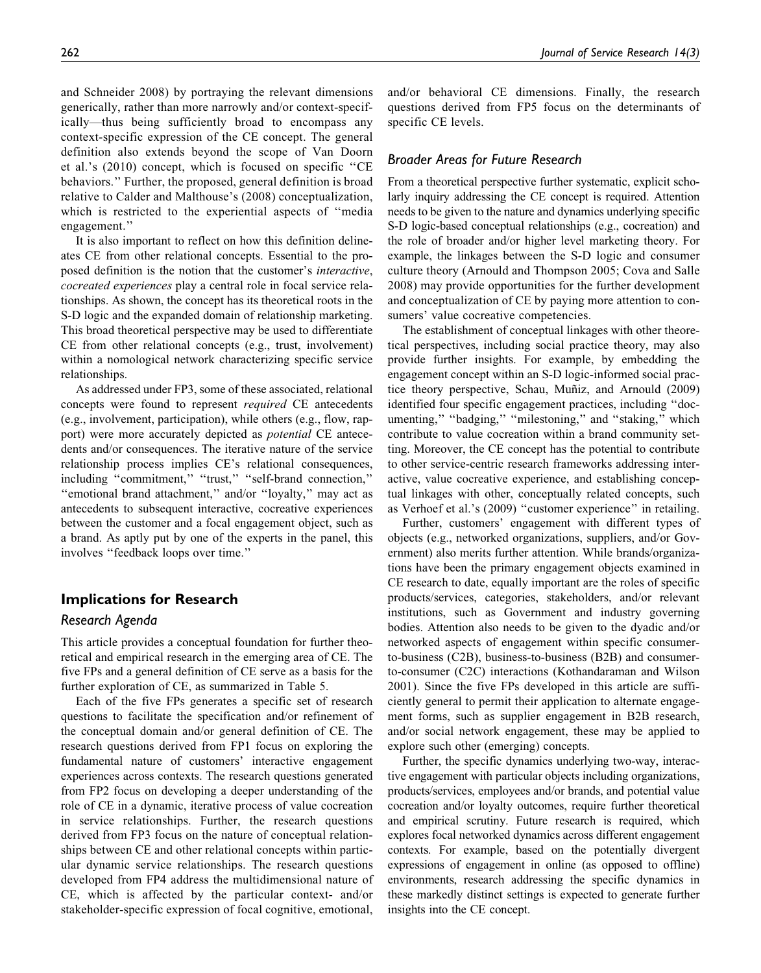and Schneider 2008) by portraying the relevant dimensions generically, rather than more narrowly and/or context-specifically—thus being sufficiently broad to encompass any context-specific expression of the CE concept. The general definition also extends beyond the scope of Van Doorn et al.'s (2010) concept, which is focused on specific ''CE behaviors.'' Further, the proposed, general definition is broad relative to Calder and Malthouse's (2008) conceptualization, which is restricted to the experiential aspects of ''media engagement.''

It is also important to reflect on how this definition delineates CE from other relational concepts. Essential to the proposed definition is the notion that the customer's interactive, cocreated experiences play a central role in focal service relationships. As shown, the concept has its theoretical roots in the S-D logic and the expanded domain of relationship marketing. This broad theoretical perspective may be used to differentiate CE from other relational concepts (e.g., trust, involvement) within a nomological network characterizing specific service relationships.

As addressed under FP3, some of these associated, relational concepts were found to represent required CE antecedents (e.g., involvement, participation), while others (e.g., flow, rapport) were more accurately depicted as *potential* CE antecedents and/or consequences. The iterative nature of the service relationship process implies CE's relational consequences, including "commitment," "trust," "self-brand connection," ''emotional brand attachment,'' and/or ''loyalty,'' may act as antecedents to subsequent interactive, cocreative experiences between the customer and a focal engagement object, such as a brand. As aptly put by one of the experts in the panel, this involves ''feedback loops over time.''

## Implications for Research

#### Research Agenda

This article provides a conceptual foundation for further theoretical and empirical research in the emerging area of CE. The five FPs and a general definition of CE serve as a basis for the further exploration of CE, as summarized in Table 5.

Each of the five FPs generates a specific set of research questions to facilitate the specification and/or refinement of the conceptual domain and/or general definition of CE. The research questions derived from FP1 focus on exploring the fundamental nature of customers' interactive engagement experiences across contexts. The research questions generated from FP2 focus on developing a deeper understanding of the role of CE in a dynamic, iterative process of value cocreation in service relationships. Further, the research questions derived from FP3 focus on the nature of conceptual relationships between CE and other relational concepts within particular dynamic service relationships. The research questions developed from FP4 address the multidimensional nature of CE, which is affected by the particular context- and/or stakeholder-specific expression of focal cognitive, emotional,

and/or behavioral CE dimensions. Finally, the research questions derived from FP5 focus on the determinants of specific CE levels.

#### Broader Areas for Future Research

From a theoretical perspective further systematic, explicit scholarly inquiry addressing the CE concept is required. Attention needs to be given to the nature and dynamics underlying specific S-D logic-based conceptual relationships (e.g., cocreation) and the role of broader and/or higher level marketing theory. For example, the linkages between the S-D logic and consumer culture theory (Arnould and Thompson 2005; Cova and Salle 2008) may provide opportunities for the further development and conceptualization of CE by paying more attention to consumers' value cocreative competencies.

The establishment of conceptual linkages with other theoretical perspectives, including social practice theory, may also provide further insights. For example, by embedding the engagement concept within an S-D logic-informed social practice theory perspective, Schau, Muñiz, and Arnould (2009) identified four specific engagement practices, including ''documenting," "badging," "milestoning," and "staking," which contribute to value cocreation within a brand community setting. Moreover, the CE concept has the potential to contribute to other service-centric research frameworks addressing interactive, value cocreative experience, and establishing conceptual linkages with other, conceptually related concepts, such as Verhoef et al.'s (2009) ''customer experience'' in retailing.

Further, customers' engagement with different types of objects (e.g., networked organizations, suppliers, and/or Government) also merits further attention. While brands/organizations have been the primary engagement objects examined in CE research to date, equally important are the roles of specific products/services, categories, stakeholders, and/or relevant institutions, such as Government and industry governing bodies. Attention also needs to be given to the dyadic and/or networked aspects of engagement within specific consumerto-business (C2B), business-to-business (B2B) and consumerto-consumer (C2C) interactions (Kothandaraman and Wilson 2001). Since the five FPs developed in this article are sufficiently general to permit their application to alternate engagement forms, such as supplier engagement in B2B research, and/or social network engagement, these may be applied to explore such other (emerging) concepts.

Further, the specific dynamics underlying two-way, interactive engagement with particular objects including organizations, products/services, employees and/or brands, and potential value cocreation and/or loyalty outcomes, require further theoretical and empirical scrutiny. Future research is required, which explores focal networked dynamics across different engagement contexts. For example, based on the potentially divergent expressions of engagement in online (as opposed to offline) environments, research addressing the specific dynamics in these markedly distinct settings is expected to generate further insights into the CE concept.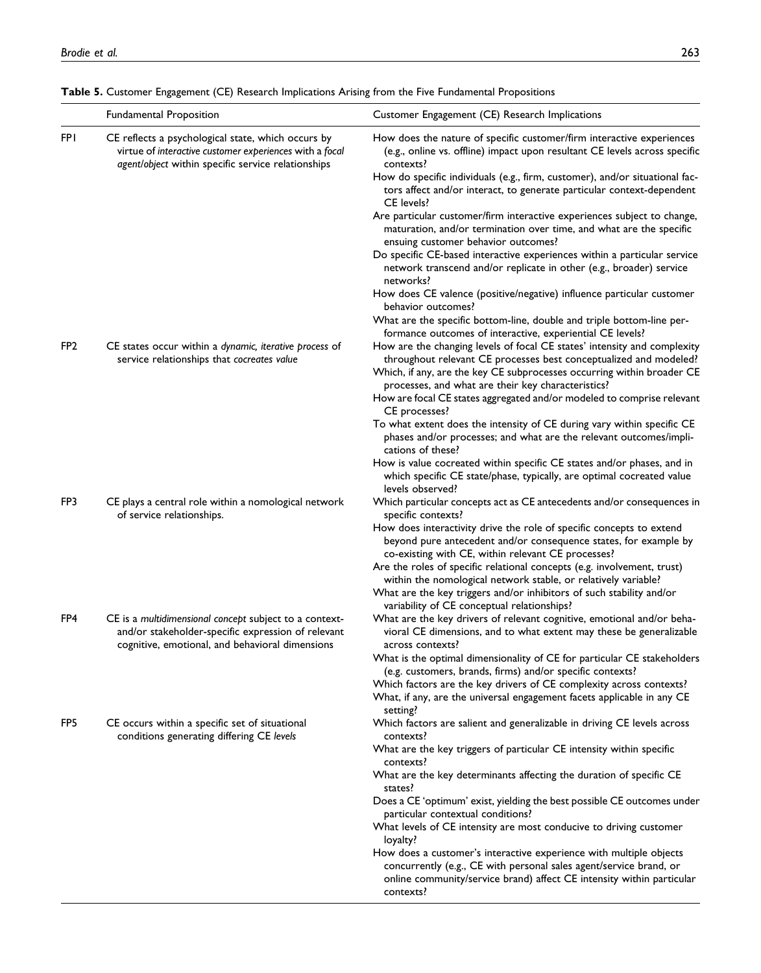|                 | <b>Fundamental Proposition</b>                                                                                                                                      | Customer Engagement (CE) Research Implications                                                                                                                                                 |
|-----------------|---------------------------------------------------------------------------------------------------------------------------------------------------------------------|------------------------------------------------------------------------------------------------------------------------------------------------------------------------------------------------|
| <b>FPI</b>      | CE reflects a psychological state, which occurs by<br>virtue of interactive customer experiences with a focal<br>agent/object within specific service relationships | How does the nature of specific customer/firm interactive experiences<br>(e.g., online vs. offline) impact upon resultant CE levels across specific<br>contexts?                               |
|                 |                                                                                                                                                                     | How do specific individuals (e.g., firm, customer), and/or situational fac-<br>tors affect and/or interact, to generate particular context-dependent<br>CE levels?                             |
|                 |                                                                                                                                                                     | Are particular customer/firm interactive experiences subject to change,<br>maturation, and/or termination over time, and what are the specific<br>ensuing customer behavior outcomes?          |
|                 |                                                                                                                                                                     | Do specific CE-based interactive experiences within a particular service<br>network transcend and/or replicate in other (e.g., broader) service<br>networks?                                   |
|                 |                                                                                                                                                                     | How does CE valence (positive/negative) influence particular customer<br>behavior outcomes?<br>What are the specific bottom-line, double and triple bottom-line per-                           |
|                 |                                                                                                                                                                     | formance outcomes of interactive, experiential CE levels?                                                                                                                                      |
| FP <sub>2</sub> | CE states occur within a dynamic, iterative process of<br>service relationships that cocreates value                                                                | How are the changing levels of focal CE states' intensity and complexity<br>throughout relevant CE processes best conceptualized and modeled?                                                  |
|                 |                                                                                                                                                                     | Which, if any, are the key CE subprocesses occurring within broader CE<br>processes, and what are their key characteristics?                                                                   |
|                 |                                                                                                                                                                     | How are focal CE states aggregated and/or modeled to comprise relevant<br>CE processes?                                                                                                        |
|                 |                                                                                                                                                                     | To what extent does the intensity of CE during vary within specific CE<br>phases and/or processes; and what are the relevant outcomes/impli-<br>cations of these?                              |
|                 |                                                                                                                                                                     | How is value cocreated within specific CE states and/or phases, and in<br>which specific CE state/phase, typically, are optimal cocreated value<br>levels observed?                            |
| FP3             | CE plays a central role within a nomological network<br>of service relationships.                                                                                   | Which particular concepts act as CE antecedents and/or consequences in<br>specific contexts?                                                                                                   |
|                 |                                                                                                                                                                     | How does interactivity drive the role of specific concepts to extend<br>beyond pure antecedent and/or consequence states, for example by<br>co-existing with CE, within relevant CE processes? |
|                 |                                                                                                                                                                     | Are the roles of specific relational concepts (e.g. involvement, trust)<br>within the nomological network stable, or relatively variable?                                                      |
|                 |                                                                                                                                                                     | What are the key triggers and/or inhibitors of such stability and/or<br>variability of CE conceptual relationships?                                                                            |
| FP4             | CE is a multidimensional concept subject to a context-<br>and/or stakeholder-specific expression of relevant                                                        | What are the key drivers of relevant cognitive, emotional and/or beha-<br>vioral CE dimensions, and to what extent may these be generalizable                                                  |
|                 | cognitive, emotional, and behavioral dimensions                                                                                                                     | across contexts?<br>What is the optimal dimensionality of CE for particular CE stakeholders                                                                                                    |
|                 |                                                                                                                                                                     | (e.g. customers, brands, firms) and/or specific contexts?                                                                                                                                      |
|                 |                                                                                                                                                                     | Which factors are the key drivers of CE complexity across contexts?<br>What, if any, are the universal engagement facets applicable in any CE<br>setting?                                      |
| FP <sub>5</sub> | CE occurs within a specific set of situational<br>conditions generating differing CE levels                                                                         | Which factors are salient and generalizable in driving CE levels across<br>contexts?                                                                                                           |
|                 |                                                                                                                                                                     | What are the key triggers of particular CE intensity within specific<br>contexts?                                                                                                              |
|                 |                                                                                                                                                                     | What are the key determinants affecting the duration of specific CE                                                                                                                            |
|                 |                                                                                                                                                                     | states?<br>Does a CE 'optimum' exist, yielding the best possible CE outcomes under<br>particular contextual conditions?                                                                        |
|                 |                                                                                                                                                                     | What levels of CE intensity are most conducive to driving customer<br>loyalty?                                                                                                                 |
|                 |                                                                                                                                                                     | How does a customer's interactive experience with multiple objects<br>concurrently (e.g., CE with personal sales agent/service brand, or                                                       |
|                 |                                                                                                                                                                     | online community/service brand) affect CE intensity within particular<br>contexts?                                                                                                             |

# Table 5. Customer Engagement (CE) Research Implications Arising from the Five Fundamental Propositions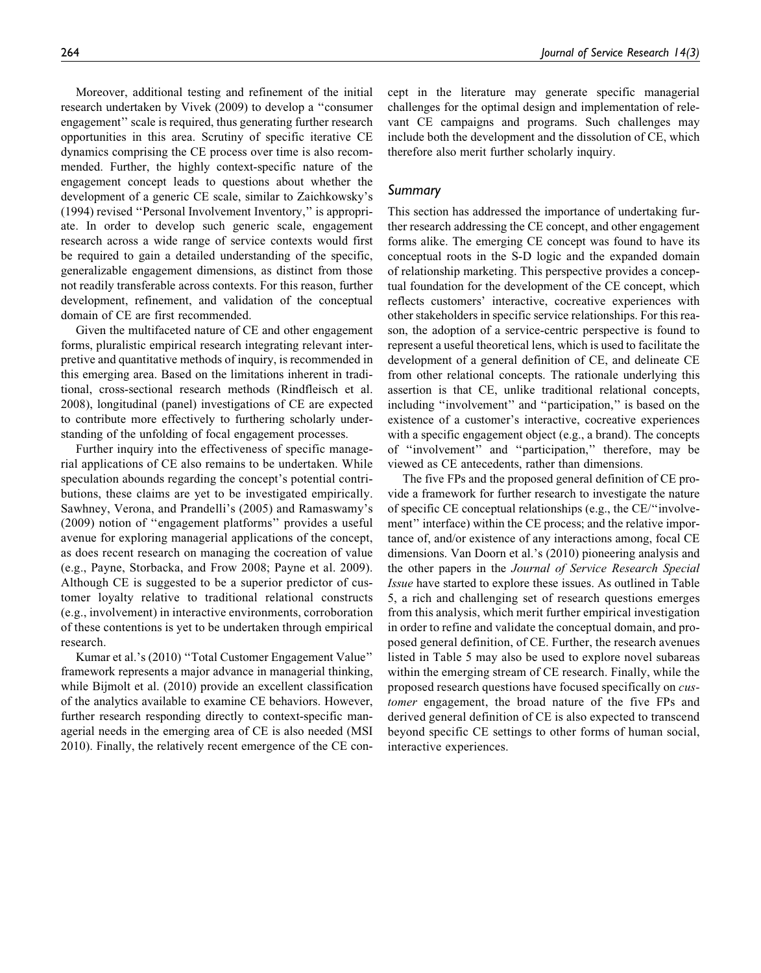Moreover, additional testing and refinement of the initial research undertaken by Vivek (2009) to develop a ''consumer engagement'' scale is required, thus generating further research opportunities in this area. Scrutiny of specific iterative CE dynamics comprising the CE process over time is also recommended. Further, the highly context-specific nature of the engagement concept leads to questions about whether the development of a generic CE scale, similar to Zaichkowsky's (1994) revised ''Personal Involvement Inventory,'' is appropriate. In order to develop such generic scale, engagement research across a wide range of service contexts would first be required to gain a detailed understanding of the specific, generalizable engagement dimensions, as distinct from those not readily transferable across contexts. For this reason, further development, refinement, and validation of the conceptual domain of CE are first recommended.

Given the multifaceted nature of CE and other engagement forms, pluralistic empirical research integrating relevant interpretive and quantitative methods of inquiry, is recommended in this emerging area. Based on the limitations inherent in traditional, cross-sectional research methods (Rindfleisch et al. 2008), longitudinal (panel) investigations of CE are expected to contribute more effectively to furthering scholarly understanding of the unfolding of focal engagement processes.

Further inquiry into the effectiveness of specific managerial applications of CE also remains to be undertaken. While speculation abounds regarding the concept's potential contributions, these claims are yet to be investigated empirically. Sawhney, Verona, and Prandelli's (2005) and Ramaswamy's (2009) notion of ''engagement platforms'' provides a useful avenue for exploring managerial applications of the concept, as does recent research on managing the cocreation of value (e.g., Payne, Storbacka, and Frow 2008; Payne et al. 2009). Although CE is suggested to be a superior predictor of customer loyalty relative to traditional relational constructs (e.g., involvement) in interactive environments, corroboration of these contentions is yet to be undertaken through empirical research.

Kumar et al.'s (2010) ''Total Customer Engagement Value'' framework represents a major advance in managerial thinking, while Bijmolt et al. (2010) provide an excellent classification of the analytics available to examine CE behaviors. However, further research responding directly to context-specific managerial needs in the emerging area of CE is also needed (MSI 2010). Finally, the relatively recent emergence of the CE concept in the literature may generate specific managerial challenges for the optimal design and implementation of relevant CE campaigns and programs. Such challenges may include both the development and the dissolution of CE, which therefore also merit further scholarly inquiry.

#### Summary

This section has addressed the importance of undertaking further research addressing the CE concept, and other engagement forms alike. The emerging CE concept was found to have its conceptual roots in the S-D logic and the expanded domain of relationship marketing. This perspective provides a conceptual foundation for the development of the CE concept, which reflects customers' interactive, cocreative experiences with other stakeholders in specific service relationships. For this reason, the adoption of a service-centric perspective is found to represent a useful theoretical lens, which is used to facilitate the development of a general definition of CE, and delineate CE from other relational concepts. The rationale underlying this assertion is that CE, unlike traditional relational concepts, including "involvement" and "participation," is based on the existence of a customer's interactive, cocreative experiences with a specific engagement object (e.g., a brand). The concepts of ''involvement'' and ''participation,'' therefore, may be viewed as CE antecedents, rather than dimensions.

The five FPs and the proposed general definition of CE provide a framework for further research to investigate the nature of specific CE conceptual relationships (e.g., the CE/''involvement" interface) within the CE process; and the relative importance of, and/or existence of any interactions among, focal CE dimensions. Van Doorn et al.'s (2010) pioneering analysis and the other papers in the Journal of Service Research Special Issue have started to explore these issues. As outlined in Table 5, a rich and challenging set of research questions emerges from this analysis, which merit further empirical investigation in order to refine and validate the conceptual domain, and proposed general definition, of CE. Further, the research avenues listed in Table 5 may also be used to explore novel subareas within the emerging stream of CE research. Finally, while the proposed research questions have focused specifically on *cus*tomer engagement, the broad nature of the five FPs and derived general definition of CE is also expected to transcend beyond specific CE settings to other forms of human social, interactive experiences.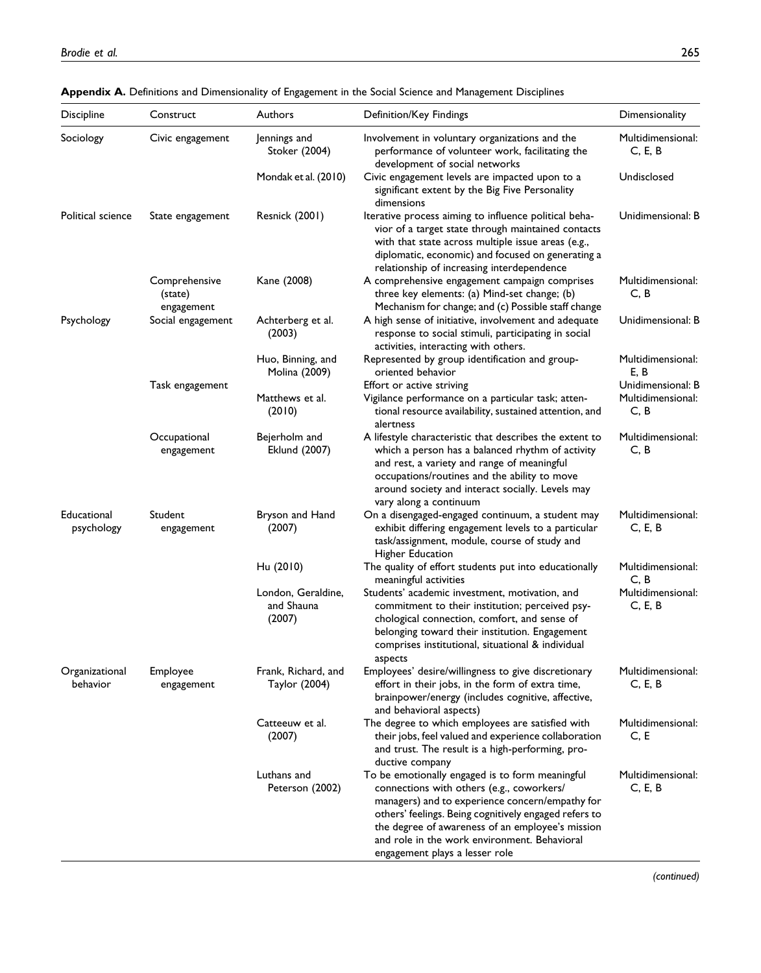| Discipline                 | Construct                              | Authors                                    | Definition/Key Findings                                                                                                                                                                                                                                                                                                                        | Dimensionality                                 |
|----------------------------|----------------------------------------|--------------------------------------------|------------------------------------------------------------------------------------------------------------------------------------------------------------------------------------------------------------------------------------------------------------------------------------------------------------------------------------------------|------------------------------------------------|
| Sociology                  | Civic engagement                       | Jennings and<br>Stoker (2004)              | Involvement in voluntary organizations and the<br>performance of volunteer work, facilitating the<br>development of social networks                                                                                                                                                                                                            | Multidimensional:<br>C, E, B                   |
|                            |                                        | Mondak et al. (2010)                       | Civic engagement levels are impacted upon to a<br>significant extent by the Big Five Personality<br>dimensions                                                                                                                                                                                                                                 | Undisclosed                                    |
| Political science          | State engagement                       | Resnick (2001)                             | Iterative process aiming to influence political beha-<br>vior of a target state through maintained contacts<br>with that state across multiple issue areas (e.g.,<br>diplomatic, economic) and focused on generating a<br>relationship of increasing interdependence                                                                           | Unidimensional: B                              |
|                            | Comprehensive<br>(state)<br>engagement | Kane (2008)                                | A comprehensive engagement campaign comprises<br>three key elements: (a) Mind-set change; (b)<br>Mechanism for change; and (c) Possible staff change                                                                                                                                                                                           | Multidimensional:<br>C, B                      |
| Psychology                 | Social engagement                      | Achterberg et al.<br>(2003)                | A high sense of initiative, involvement and adequate<br>response to social stimuli, participating in social<br>activities, interacting with others.                                                                                                                                                                                            | Unidimensional: B                              |
|                            |                                        | Huo, Binning, and<br>Molina (2009)         | Represented by group identification and group-<br>oriented behavior                                                                                                                                                                                                                                                                            | Multidimensional:<br>E, B                      |
|                            | Task engagement                        | Matthews et al.<br>(2010)                  | Effort or active striving<br>Vigilance performance on a particular task; atten-<br>tional resource availability, sustained attention, and<br>alertness                                                                                                                                                                                         | Unidimensional: B<br>Multidimensional:<br>C, B |
|                            | Occupational<br>engagement             | Bejerholm and<br><b>Eklund (2007)</b>      | A lifestyle characteristic that describes the extent to<br>which a person has a balanced rhythm of activity<br>and rest, a variety and range of meaningful<br>occupations/routines and the ability to move<br>around society and interact socially. Levels may<br>vary along a continuum                                                       | Multidimensional:<br>C, B                      |
| Educational<br>psychology  | Student<br>engagement                  | Bryson and Hand<br>(2007)                  | On a disengaged-engaged continuum, a student may<br>exhibit differing engagement levels to a particular<br>task/assignment, module, course of study and<br><b>Higher Education</b>                                                                                                                                                             | Multidimensional:<br>C, E, B                   |
|                            |                                        | Hu (2010)                                  | The quality of effort students put into educationally<br>meaningful activities                                                                                                                                                                                                                                                                 | Multidimensional:<br>C, B                      |
|                            |                                        | London, Geraldine,<br>and Shauna<br>(2007) | Students' academic investment, motivation, and<br>commitment to their institution; perceived psy-<br>chological connection, comfort, and sense of<br>belonging toward their institution. Engagement<br>comprises institutional, situational & individual<br>aspects                                                                            | Multidimensional:<br>C, E, B                   |
| Organizational<br>behavior | Employee<br>engagement                 | Frank, Richard, and<br>Taylor (2004)       | Employees' desire/willingness to give discretionary<br>effort in their jobs, in the form of extra time,<br>brainpower/energy (includes cognitive, affective,<br>and behavioral aspects)                                                                                                                                                        | Multidimensional:<br>C, E, B                   |
|                            |                                        | Catteeuw et al.<br>(2007)                  | The degree to which employees are satisfied with<br>their jobs, feel valued and experience collaboration<br>and trust. The result is a high-performing, pro-<br>ductive company                                                                                                                                                                | Multidimensional:<br>C, E                      |
|                            |                                        | Luthans and<br>Peterson (2002)             | To be emotionally engaged is to form meaningful<br>connections with others (e.g., coworkers/<br>managers) and to experience concern/empathy for<br>others' feelings. Being cognitively engaged refers to<br>the degree of awareness of an employee's mission<br>and role in the work environment. Behavioral<br>engagement plays a lesser role | Multidimensional:<br>C, E, B                   |

| Appendix A. Definitions and Dimensionality of Engagement in the Social Science and Management Disciplines |  |  |
|-----------------------------------------------------------------------------------------------------------|--|--|
|                                                                                                           |  |  |

(continued)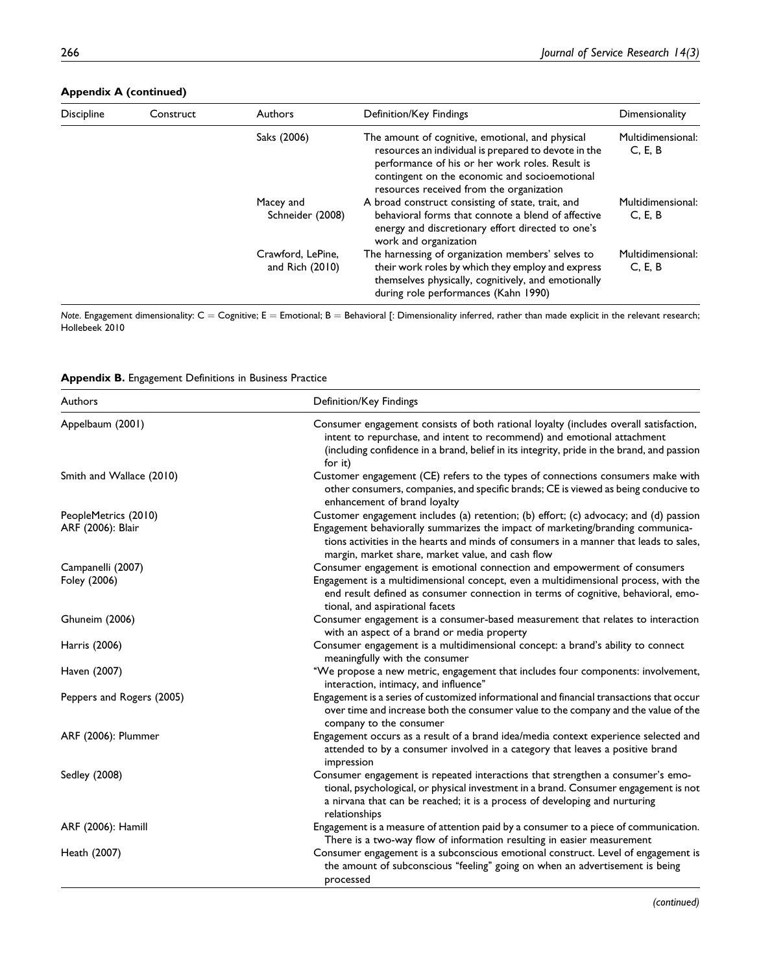# Appendix A (continued)

| <b>Discipline</b> | Construct | <b>Authors</b>                       | Definition/Key Findings                                                                                                                                                                                                                                  | Dimensionality               |
|-------------------|-----------|--------------------------------------|----------------------------------------------------------------------------------------------------------------------------------------------------------------------------------------------------------------------------------------------------------|------------------------------|
|                   |           | Saks (2006)                          | The amount of cognitive, emotional, and physical<br>resources an individual is prepared to devote in the<br>performance of his or her work roles. Result is<br>contingent on the economic and socioemotional<br>resources received from the organization | Multidimensional:<br>C, E, B |
|                   |           | Macey and<br>Schneider (2008)        | A broad construct consisting of state, trait, and<br>behavioral forms that connote a blend of affective<br>energy and discretionary effort directed to one's<br>work and organization                                                                    | Multidimensional:<br>C, E, B |
|                   |           | Crawford, LePine,<br>and Rich (2010) | The harnessing of organization members' selves to<br>their work roles by which they employ and express<br>themselves physically, cognitively, and emotionally<br>during role performances (Kahn 1990)                                                    | Multidimensional:<br>C, E, B |

Note. Engagement dimensionality:  $C = C$ ognitive; E = Emotional; B = Behavioral [: Dimensionality inferred, rather than made explicit in the relevant research; Hollebeek 2010

Appendix B. Engagement Definitions in Business Practice

| Authors                                   | Definition/Key Findings                                                                                                                                                                                                                                                                                                |
|-------------------------------------------|------------------------------------------------------------------------------------------------------------------------------------------------------------------------------------------------------------------------------------------------------------------------------------------------------------------------|
| Appelbaum (2001)                          | Consumer engagement consists of both rational loyalty (includes overall satisfaction,<br>intent to repurchase, and intent to recommend) and emotional attachment<br>(including confidence in a brand, belief in its integrity, pride in the brand, and passion<br>for it)                                              |
| Smith and Wallace (2010)                  | Customer engagement (CE) refers to the types of connections consumers make with<br>other consumers, companies, and specific brands; CE is viewed as being conducive to<br>enhancement of brand loyalty                                                                                                                 |
| PeopleMetrics (2010)<br>ARF (2006): Blair | Customer engagement includes (a) retention; (b) effort; (c) advocacy; and (d) passion<br>Engagement behaviorally summarizes the impact of marketing/branding communica-<br>tions activities in the hearts and minds of consumers in a manner that leads to sales,<br>margin, market share, market value, and cash flow |
| Campanelli (2007)<br>Foley (2006)         | Consumer engagement is emotional connection and empowerment of consumers<br>Engagement is a multidimensional concept, even a multidimensional process, with the<br>end result defined as consumer connection in terms of cognitive, behavioral, emo-<br>tional, and aspirational facets                                |
| <b>Ghuneim</b> (2006)                     | Consumer engagement is a consumer-based measurement that relates to interaction<br>with an aspect of a brand or media property                                                                                                                                                                                         |
| Harris (2006)                             | Consumer engagement is a multidimensional concept: a brand's ability to connect<br>meaningfully with the consumer                                                                                                                                                                                                      |
| Haven (2007)                              | "We propose a new metric, engagement that includes four components: involvement,<br>interaction, intimacy, and influence"                                                                                                                                                                                              |
| Peppers and Rogers (2005)                 | Engagement is a series of customized informational and financial transactions that occur<br>over time and increase both the consumer value to the company and the value of the<br>company to the consumer                                                                                                              |
| ARF (2006): Plummer                       | Engagement occurs as a result of a brand idea/media context experience selected and<br>attended to by a consumer involved in a category that leaves a positive brand<br>impression                                                                                                                                     |
| Sedley (2008)                             | Consumer engagement is repeated interactions that strengthen a consumer's emo-<br>tional, psychological, or physical investment in a brand. Consumer engagement is not<br>a nirvana that can be reached; it is a process of developing and nurturing<br>relationships                                                  |
| ARF (2006): Hamill                        | Engagement is a measure of attention paid by a consumer to a piece of communication.<br>There is a two-way flow of information resulting in easier measurement                                                                                                                                                         |
| Heath (2007)                              | Consumer engagement is a subconscious emotional construct. Level of engagement is<br>the amount of subconscious "feeling" going on when an advertisement is being<br>processed                                                                                                                                         |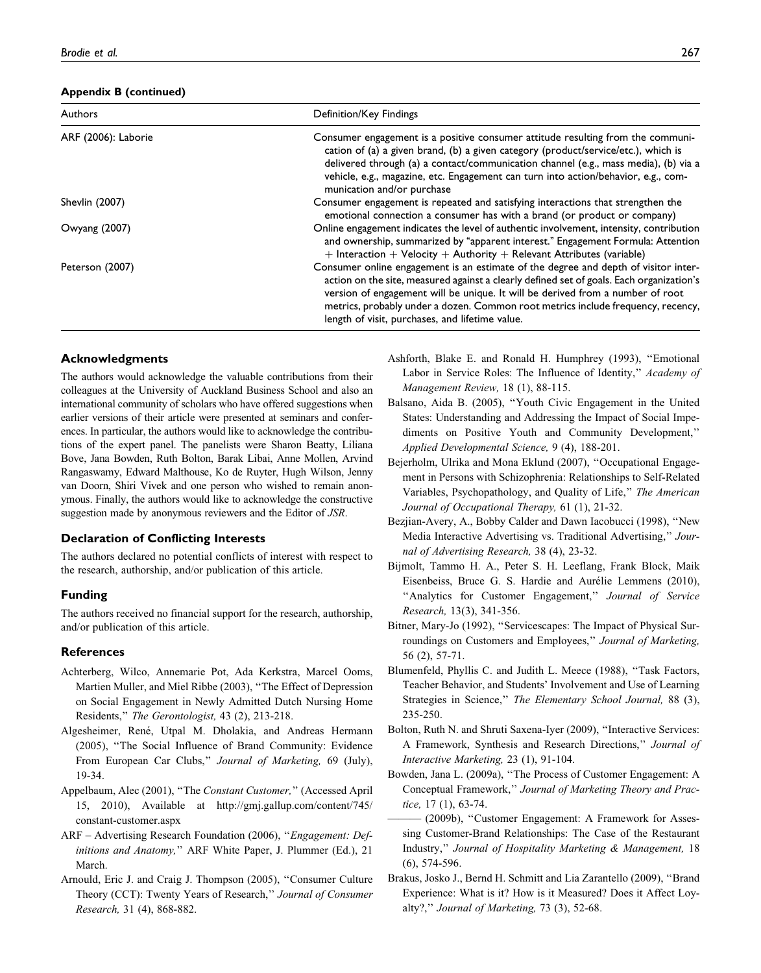| Authors               | Definition/Key Findings                                                                                                                                                                                                                                                                                                                                                                                  |  |
|-----------------------|----------------------------------------------------------------------------------------------------------------------------------------------------------------------------------------------------------------------------------------------------------------------------------------------------------------------------------------------------------------------------------------------------------|--|
| ARF (2006): Laborie   | Consumer engagement is a positive consumer attitude resulting from the communi-<br>cation of (a) a given brand, (b) a given category (product/service/etc.), which is<br>delivered through (a) a contact/communication channel (e.g., mass media), (b) via a<br>vehicle, e.g., magazine, etc. Engagement can turn into action/behavior, e.g., com-<br>munication and/or purchase                         |  |
| <b>Shevlin (2007)</b> | Consumer engagement is repeated and satisfying interactions that strengthen the<br>emotional connection a consumer has with a brand (or product or company)                                                                                                                                                                                                                                              |  |
| Owyang (2007)         | Online engagement indicates the level of authentic involvement, intensity, contribution<br>and ownership, summarized by "apparent interest." Engagement Formula: Attention<br>$+$ Interaction $+$ Velocity $+$ Authority $+$ Relevant Attributes (variable)                                                                                                                                              |  |
| Peterson (2007)       | Consumer online engagement is an estimate of the degree and depth of visitor inter-<br>action on the site, measured against a clearly defined set of goals. Each organization's<br>version of engagement will be unique. It will be derived from a number of root<br>metrics, probably under a dozen. Common root metrics include frequency, recency,<br>length of visit, purchases, and lifetime value. |  |

#### Acknowledgments

The authors would acknowledge the valuable contributions from their colleagues at the University of Auckland Business School and also an international community of scholars who have offered suggestions when earlier versions of their article were presented at seminars and conferences. In particular, the authors would like to acknowledge the contributions of the expert panel. The panelists were Sharon Beatty, Liliana Bove, Jana Bowden, Ruth Bolton, Barak Libai, Anne Mollen, Arvind Rangaswamy, Edward Malthouse, Ko de Ruyter, Hugh Wilson, Jenny van Doorn, Shiri Vivek and one person who wished to remain anonymous. Finally, the authors would like to acknowledge the constructive suggestion made by anonymous reviewers and the Editor of *JSR*.

#### Declaration of Conflicting Interests

The authors declared no potential conflicts of interest with respect to the research, authorship, and/or publication of this article.

#### Funding

The authors received no financial support for the research, authorship, and/or publication of this article.

#### References

- Achterberg, Wilco, Annemarie Pot, Ada Kerkstra, Marcel Ooms, Martien Muller, and Miel Ribbe (2003), ''The Effect of Depression on Social Engagement in Newly Admitted Dutch Nursing Home Residents,'' The Gerontologist, 43 (2), 213-218.
- Algesheimer, René, Utpal M. Dholakia, and Andreas Hermann (2005), ''The Social Influence of Brand Community: Evidence From European Car Clubs," Journal of Marketing, 69 (July), 19-34.
- Appelbaum, Alec (2001), "The Constant Customer," (Accessed April 15, 2010), Available at http://gmj.gallup.com/content/745/ constant-customer.aspx
- ARF Advertising Research Foundation (2006), ''Engagement: Definitions and Anatomy," ARF White Paper, J. Plummer (Ed.), 21 March.
- Arnould, Eric J. and Craig J. Thompson (2005), ''Consumer Culture Theory (CCT): Twenty Years of Research," Journal of Consumer Research, 31 (4), 868-882.
- Ashforth, Blake E. and Ronald H. Humphrey (1993), ''Emotional Labor in Service Roles: The Influence of Identity," Academy of Management Review, 18 (1), 88-115.
- Balsano, Aida B. (2005), ''Youth Civic Engagement in the United States: Understanding and Addressing the Impact of Social Impediments on Positive Youth and Community Development,'' Applied Developmental Science, 9 (4), 188-201.
- Bejerholm, Ulrika and Mona Eklund (2007), ''Occupational Engagement in Persons with Schizophrenia: Relationships to Self-Related Variables, Psychopathology, and Quality of Life," The American Journal of Occupational Therapy, 61 (1), 21-32.
- Bezjian-Avery, A., Bobby Calder and Dawn Iacobucci (1998), ''New Media Interactive Advertising vs. Traditional Advertising,'' Journal of Advertising Research, 38 (4), 23-32.
- Bijmolt, Tammo H. A., Peter S. H. Leeflang, Frank Block, Maik Eisenbeiss, Bruce G. S. Hardie and Aurélie Lemmens (2010), ''Analytics for Customer Engagement,'' Journal of Service Research, 13(3), 341-356.
- Bitner, Mary-Jo (1992), ''Servicescapes: The Impact of Physical Surroundings on Customers and Employees,'' Journal of Marketing, 56 (2), 57-71.
- Blumenfeld, Phyllis C. and Judith L. Meece (1988), ''Task Factors, Teacher Behavior, and Students' Involvement and Use of Learning Strategies in Science," The Elementary School Journal, 88 (3), 235-250.
- Bolton, Ruth N. and Shruti Saxena-Iyer (2009), ''Interactive Services: A Framework, Synthesis and Research Directions,'' Journal of Interactive Marketing, 23 (1), 91-104.
- Bowden, Jana L. (2009a), ''The Process of Customer Engagement: A Conceptual Framework,'' Journal of Marketing Theory and Practice, 17 (1), 63-74.
- ——— (2009b), ''Customer Engagement: A Framework for Assessing Customer-Brand Relationships: The Case of the Restaurant Industry,'' Journal of Hospitality Marketing & Management, 18 (6), 574-596.
- Brakus, Josko J., Bernd H. Schmitt and Lia Zarantello (2009), ''Brand Experience: What is it? How is it Measured? Does it Affect Loyalty?,'' Journal of Marketing, 73 (3), 52-68.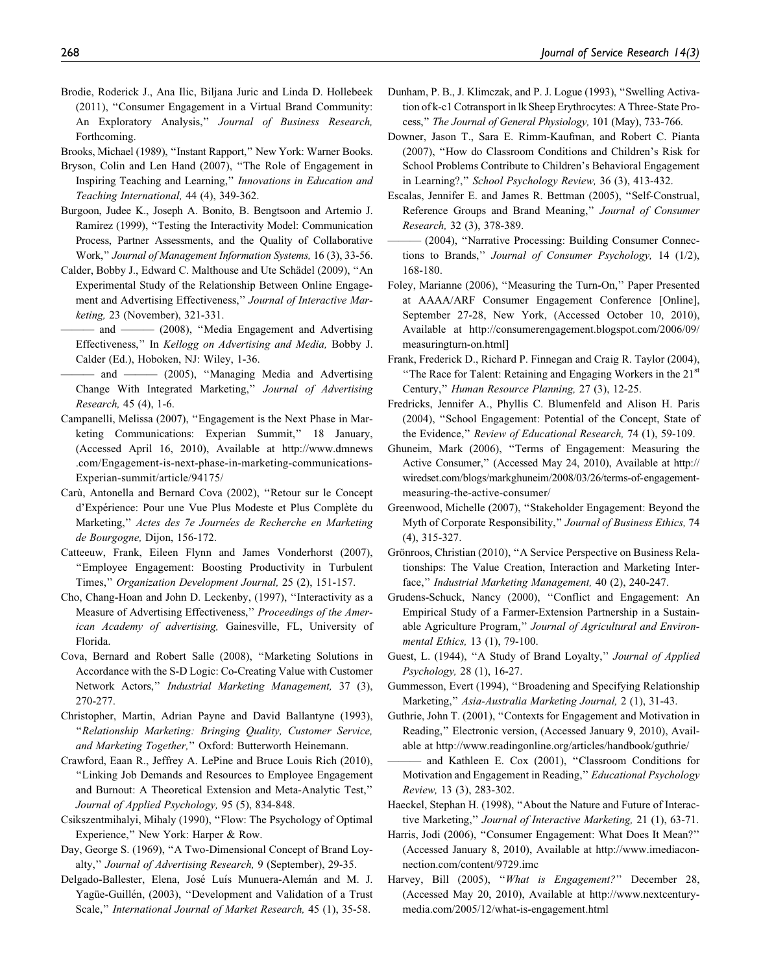- Brodie, Roderick J., Ana Ilic, Biljana Juric and Linda D. Hollebeek (2011), ''Consumer Engagement in a Virtual Brand Community: An Exploratory Analysis,'' Journal of Business Research, Forthcoming.
- Brooks, Michael (1989), ''Instant Rapport,'' New York: Warner Books.
- Bryson, Colin and Len Hand (2007), ''The Role of Engagement in Inspiring Teaching and Learning,'' Innovations in Education and Teaching International, 44 (4), 349-362.
- Burgoon, Judee K., Joseph A. Bonito, B. Bengtsoon and Artemio J. Ramirez (1999), ''Testing the Interactivity Model: Communication Process, Partner Assessments, and the Quality of Collaborative Work,'' Journal of Management Information Systems, 16 (3), 33-56.
- Calder, Bobby J., Edward C. Malthouse and Ute Schädel (2009), "An Experimental Study of the Relationship Between Online Engagement and Advertising Effectiveness,'' Journal of Interactive Marketing, 23 (November), 321-331.
- and ——— (2008), "Media Engagement and Advertising Effectiveness,'' In Kellogg on Advertising and Media, Bobby J. Calder (Ed.), Hoboken, NJ: Wiley, 1-36.
- and (2005), "Managing Media and Advertising Change With Integrated Marketing,'' Journal of Advertising Research, 45 (4), 1-6.
- Campanelli, Melissa (2007), ''Engagement is the Next Phase in Marketing Communications: Experian Summit,'' 18 January, (Accessed April 16, 2010), Available at http://www.dmnews .com/Engagement-is-next-phase-in-marketing-communications-Experian-summit/article/94175/
- Carù, Antonella and Bernard Cova (2002), "Retour sur le Concept d'Expérience: Pour une Vue Plus Modeste et Plus Complète du Marketing," Actes des 7e Journées de Recherche en Marketing de Bourgogne, Dijon, 156-172.
- Catteeuw, Frank, Eileen Flynn and James Vonderhorst (2007), ''Employee Engagement: Boosting Productivity in Turbulent Times,'' Organization Development Journal, 25 (2), 151-157.
- Cho, Chang-Hoan and John D. Leckenby, (1997), ''Interactivity as a Measure of Advertising Effectiveness,'' Proceedings of the American Academy of advertising, Gainesville, FL, University of Florida.
- Cova, Bernard and Robert Salle (2008), ''Marketing Solutions in Accordance with the S-D Logic: Co-Creating Value with Customer Network Actors,'' Industrial Marketing Management, 37 (3), 270-277.
- Christopher, Martin, Adrian Payne and David Ballantyne (1993), ''Relationship Marketing: Bringing Quality, Customer Service, and Marketing Together,'' Oxford: Butterworth Heinemann.
- Crawford, Eaan R., Jeffrey A. LePine and Bruce Louis Rich (2010), ''Linking Job Demands and Resources to Employee Engagement and Burnout: A Theoretical Extension and Meta-Analytic Test,'' Journal of Applied Psychology, 95 (5), 834-848.
- Csikszentmihalyi, Mihaly (1990), ''Flow: The Psychology of Optimal Experience,'' New York: Harper & Row.
- Day, George S. (1969), ''A Two-Dimensional Concept of Brand Loyalty,'' Journal of Advertising Research, 9 (September), 29-35.
- Delgado-Ballester, Elena, José Luís Munuera-Alemán and M. J. Yagüe-Guillén, (2003), "Development and Validation of a Trust Scale," International Journal of Market Research, 45 (1), 35-58.
- Dunham, P. B., J. Klimczak, and P. J. Logue (1993), ''Swelling Activation of k-c1 Cotransport in lk Sheep Erythrocytes: A Three-State Process,'' The Journal of General Physiology, 101 (May), 733-766.
- Downer, Jason T., Sara E. Rimm-Kaufman, and Robert C. Pianta (2007), ''How do Classroom Conditions and Children's Risk for School Problems Contribute to Children's Behavioral Engagement in Learning?,'' School Psychology Review, 36 (3), 413-432.
- Escalas, Jennifer E. and James R. Bettman (2005), ''Self-Construal, Reference Groups and Brand Meaning,'' Journal of Consumer Research, 32 (3), 378-389.
- (2004), "Narrative Processing: Building Consumer Connections to Brands,'' Journal of Consumer Psychology, 14 (1/2), 168-180.
- Foley, Marianne (2006), ''Measuring the Turn-On,'' Paper Presented at AAAA/ARF Consumer Engagement Conference [Online], September 27-28, New York, (Accessed October 10, 2010), Available at http://consumerengagement.blogspot.com/2006/09/ measuringturn-on.html]
- Frank, Frederick D., Richard P. Finnegan and Craig R. Taylor (2004), "The Race for Talent: Retaining and Engaging Workers in the  $21<sup>st</sup>$ Century,'' Human Resource Planning, 27 (3), 12-25.
- Fredricks, Jennifer A., Phyllis C. Blumenfeld and Alison H. Paris (2004), ''School Engagement: Potential of the Concept, State of the Evidence,'' Review of Educational Research, 74 (1), 59-109.
- Ghuneim, Mark (2006), ''Terms of Engagement: Measuring the Active Consumer,'' (Accessed May 24, 2010), Available at http:// wiredset.com/blogs/markghuneim/2008/03/26/terms-of-engagementmeasuring-the-active-consumer/
- Greenwood, Michelle (2007), ''Stakeholder Engagement: Beyond the Myth of Corporate Responsibility,'' Journal of Business Ethics, 74 (4), 315-327.
- Grönroos, Christian (2010), "A Service Perspective on Business Relationships: The Value Creation, Interaction and Marketing Interface,'' Industrial Marketing Management, 40 (2), 240-247.
- Grudens-Schuck, Nancy (2000), ''Conflict and Engagement: An Empirical Study of a Farmer-Extension Partnership in a Sustainable Agriculture Program,'' Journal of Agricultural and Environmental Ethics, 13 (1), 79-100.
- Guest, L. (1944), "A Study of Brand Loyalty," Journal of Applied Psychology, 28 (1), 16-27.
- Gummesson, Evert (1994), ''Broadening and Specifying Relationship Marketing,'' Asia-Australia Marketing Journal, 2 (1), 31-43.
- Guthrie, John T. (2001), ''Contexts for Engagement and Motivation in Reading,'' Electronic version, (Accessed January 9, 2010), Available at http://www.readingonline.org/articles/handbook/guthrie/
- and Kathleen E. Cox (2001), "Classroom Conditions for Motivation and Engagement in Reading,'' Educational Psychology Review, 13 (3), 283-302.
- Haeckel, Stephan H. (1998), "About the Nature and Future of Interactive Marketing,'' Journal of Interactive Marketing, 21 (1), 63-71.
- Harris, Jodi (2006), ''Consumer Engagement: What Does It Mean?'' (Accessed January 8, 2010), Available at http://www.imediaconnection.com/content/9729.imc
- Harvey, Bill (2005), "What is Engagement?" December 28, (Accessed May 20, 2010), Available at http://www.nextcenturymedia.com/2005/12/what-is-engagement.html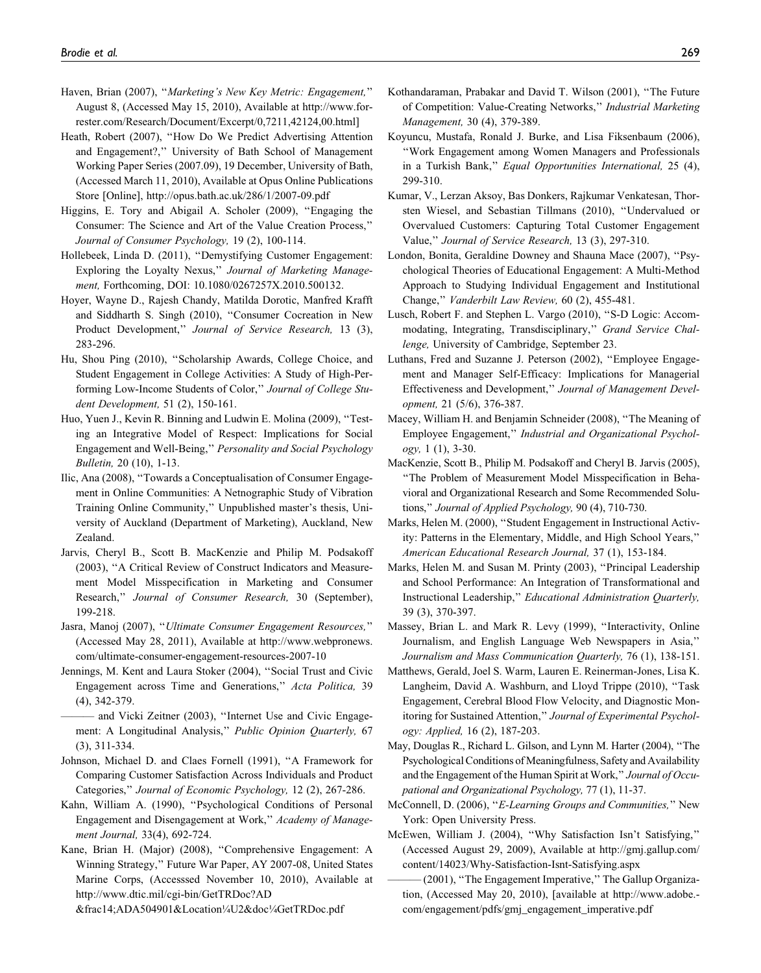Haven, Brian (2007), "Marketing's New Key Metric: Engagement," August 8, (Accessed May 15, 2010), Available at http://www.forrester.com/Research/Document/Excerpt/0,7211,42124,00.html]

Heath, Robert (2007), ''How Do We Predict Advertising Attention and Engagement?,'' University of Bath School of Management Working Paper Series (2007.09), 19 December, University of Bath, (Accessed March 11, 2010), Available at Opus Online Publications Store [Online], http://opus.bath.ac.uk/286/1/2007-09.pdf

Higgins, E. Tory and Abigail A. Scholer (2009), ''Engaging the Consumer: The Science and Art of the Value Creation Process,'' Journal of Consumer Psychology, 19 (2), 100-114.

Hollebeek, Linda D. (2011), ''Demystifying Customer Engagement: Exploring the Loyalty Nexus," Journal of Marketing Management, Forthcoming, DOI: 10.1080/0267257X.2010.500132.

Hoyer, Wayne D., Rajesh Chandy, Matilda Dorotic, Manfred Krafft and Siddharth S. Singh (2010), ''Consumer Cocreation in New Product Development," Journal of Service Research, 13 (3), 283-296.

Hu, Shou Ping (2010), ''Scholarship Awards, College Choice, and Student Engagement in College Activities: A Study of High-Performing Low-Income Students of Color,'' Journal of College Student Development, 51 (2), 150-161.

Huo, Yuen J., Kevin R. Binning and Ludwin E. Molina (2009), ''Testing an Integrative Model of Respect: Implications for Social Engagement and Well-Being,'' Personality and Social Psychology Bulletin, 20 (10), 1-13.

Ilic, Ana (2008), ''Towards a Conceptualisation of Consumer Engagement in Online Communities: A Netnographic Study of Vibration Training Online Community,'' Unpublished master's thesis, University of Auckland (Department of Marketing), Auckland, New Zealand.

Jarvis, Cheryl B., Scott B. MacKenzie and Philip M. Podsakoff (2003), ''A Critical Review of Construct Indicators and Measurement Model Misspecification in Marketing and Consumer Research,'' Journal of Consumer Research, 30 (September), 199-218.

- Jasra, Manoj (2007), ''Ultimate Consumer Engagement Resources,'' (Accessed May 28, 2011), Available at http://www.webpronews. com/ultimate-consumer-engagement-resources-2007-10
- Jennings, M. Kent and Laura Stoker (2004), ''Social Trust and Civic Engagement across Time and Generations,'' Acta Politica, 39 (4), 342-379.

and Vicki Zeitner (2003), "Internet Use and Civic Engagement: A Longitudinal Analysis," Public Opinion Quarterly, 67 (3), 311-334.

Johnson, Michael D. and Claes Fornell (1991), ''A Framework for Comparing Customer Satisfaction Across Individuals and Product Categories,'' Journal of Economic Psychology, 12 (2), 267-286.

Kahn, William A. (1990), ''Psychological Conditions of Personal Engagement and Disengagement at Work,'' Academy of Management Journal, 33(4), 692-724.

Kane, Brian H. (Major) (2008), ''Comprehensive Engagement: A Winning Strategy,'' Future War Paper, AY 2007-08, United States Marine Corps, (Accesssed November 10, 2010), Available at http://www.dtic.mil/cgi-bin/GetTRDoc?AD

¼ADA504901&Location¼U2&doc¼GetTRDoc.pdf

Kothandaraman, Prabakar and David T. Wilson (2001), ''The Future of Competition: Value-Creating Networks,'' Industrial Marketing Management, 30 (4), 379-389.

Koyuncu, Mustafa, Ronald J. Burke, and Lisa Fiksenbaum (2006), ''Work Engagement among Women Managers and Professionals in a Turkish Bank,'' Equal Opportunities International, 25 (4), 299-310.

Kumar, V., Lerzan Aksoy, Bas Donkers, Rajkumar Venkatesan, Thorsten Wiesel, and Sebastian Tillmans (2010), ''Undervalued or Overvalued Customers: Capturing Total Customer Engagement Value,'' Journal of Service Research, 13 (3), 297-310.

London, Bonita, Geraldine Downey and Shauna Mace (2007), ''Psychological Theories of Educational Engagement: A Multi-Method Approach to Studying Individual Engagement and Institutional Change,'' Vanderbilt Law Review, 60 (2), 455-481.

Lusch, Robert F. and Stephen L. Vargo (2010), ''S-D Logic: Accommodating, Integrating, Transdisciplinary," Grand Service Challenge, University of Cambridge, September 23.

Luthans, Fred and Suzanne J. Peterson (2002), ''Employee Engagement and Manager Self-Efficacy: Implications for Managerial Effectiveness and Development," Journal of Management Development, 21 (5/6), 376-387.

Macey, William H. and Benjamin Schneider (2008), ''The Meaning of Employee Engagement,'' Industrial and Organizational Psychology, 1 (1), 3-30.

MacKenzie, Scott B., Philip M. Podsakoff and Cheryl B. Jarvis (2005), ''The Problem of Measurement Model Misspecification in Behavioral and Organizational Research and Some Recommended Solutions,'' Journal of Applied Psychology, 90 (4), 710-730.

Marks, Helen M. (2000), ''Student Engagement in Instructional Activity: Patterns in the Elementary, Middle, and High School Years,'' American Educational Research Journal, 37 (1), 153-184.

Marks, Helen M. and Susan M. Printy (2003), ''Principal Leadership and School Performance: An Integration of Transformational and Instructional Leadership,'' Educational Administration Quarterly, 39 (3), 370-397.

Massey, Brian L. and Mark R. Levy (1999), ''Interactivity, Online Journalism, and English Language Web Newspapers in Asia,'' Journalism and Mass Communication Quarterly, 76 (1), 138-151.

Matthews, Gerald, Joel S. Warm, Lauren E. Reinerman-Jones, Lisa K. Langheim, David A. Washburn, and Lloyd Trippe (2010), ''Task Engagement, Cerebral Blood Flow Velocity, and Diagnostic Monitoring for Sustained Attention," Journal of Experimental Psychology: Applied, 16 (2), 187-203.

May, Douglas R., Richard L. Gilson, and Lynn M. Harter (2004), ''The Psychological Conditions of Meaningfulness, Safety and Availability and the Engagement of the Human Spirit at Work,'' Journal of Occupational and Organizational Psychology, 77 (1), 11-37.

McConnell, D. (2006), "E-Learning Groups and Communities," New York: Open University Press.

McEwen, William J. (2004), ''Why Satisfaction Isn't Satisfying,'' (Accessed August 29, 2009), Available at http://gmj.gallup.com/ content/14023/Why-Satisfaction-Isnt-Satisfying.aspx

(2001), "The Engagement Imperative," The Gallup Organization, (Accessed May 20, 2010), [available at http://www.adobe. com/engagement/pdfs/gmj\_engagement\_imperative.pdf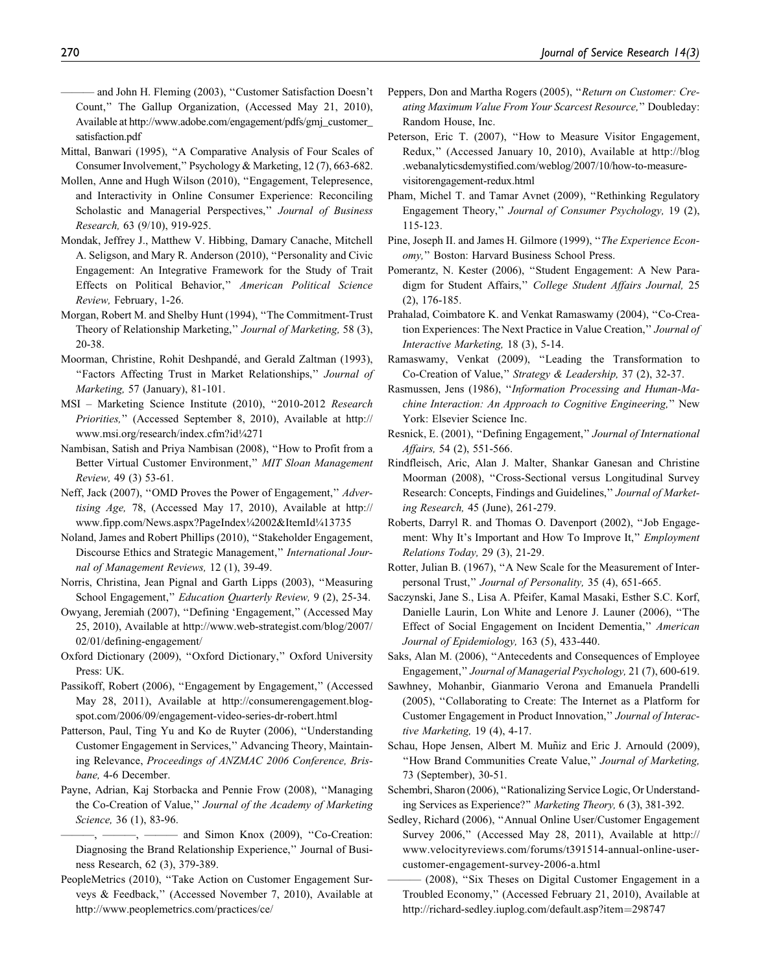and John H. Fleming (2003), "Customer Satisfaction Doesn't Count,'' The Gallup Organization, (Accessed May 21, 2010), Available at http://www.adobe.com/engagement/pdfs/gmj\_customer\_ satisfaction.pdf

- Mittal, Banwari (1995), ''A Comparative Analysis of Four Scales of Consumer Involvement,'' Psychology & Marketing, 12 (7), 663-682.
- Mollen, Anne and Hugh Wilson (2010), ''Engagement, Telepresence, and Interactivity in Online Consumer Experience: Reconciling Scholastic and Managerial Perspectives," Journal of Business Research, 63 (9/10), 919-925.
- Mondak, Jeffrey J., Matthew V. Hibbing, Damary Canache, Mitchell A. Seligson, and Mary R. Anderson (2010), ''Personality and Civic Engagement: An Integrative Framework for the Study of Trait Effects on Political Behavior,'' American Political Science Review, February, 1-26.
- Morgan, Robert M. and Shelby Hunt (1994), ''The Commitment-Trust Theory of Relationship Marketing,'' Journal of Marketing, 58 (3), 20-38.
- Moorman, Christine, Rohit Deshpandé, and Gerald Zaltman (1993), "Factors Affecting Trust in Market Relationships," Journal of Marketing, 57 (January), 81-101.
- MSI Marketing Science Institute (2010), ''2010-2012 Research Priorities,'' (Accessed September 8, 2010), Available at http:// www.msi.org/research/index.cfm?id¼271
- Nambisan, Satish and Priya Nambisan (2008), ''How to Profit from a Better Virtual Customer Environment," MIT Sloan Management Review, 49 (3) 53-61.
- Neff, Jack (2007), ''OMD Proves the Power of Engagement,'' Advertising Age, 78, (Accessed May 17, 2010), Available at http:// www.fipp.com/News.aspx?PageIndex¼2002&ItemId¼13735
- Noland, James and Robert Phillips (2010), ''Stakeholder Engagement, Discourse Ethics and Strategic Management,'' International Journal of Management Reviews, 12 (1), 39-49.
- Norris, Christina, Jean Pignal and Garth Lipps (2003), ''Measuring School Engagement," Education Quarterly Review, 9 (2), 25-34.
- Owyang, Jeremiah (2007), ''Defining 'Engagement,'' (Accessed May 25, 2010), Available at http://www.web-strategist.com/blog/2007/ 02/01/defining-engagement/
- Oxford Dictionary (2009), ''Oxford Dictionary,'' Oxford University Press<sup>.</sup> UK.
- Passikoff, Robert (2006), "Engagement by Engagement," (Accessed May 28, 2011), Available at http://consumerengagement.blogspot.com/2006/09/engagement-video-series-dr-robert.html
- Patterson, Paul, Ting Yu and Ko de Ruyter (2006), ''Understanding Customer Engagement in Services,'' Advancing Theory, Maintaining Relevance, Proceedings of ANZMAC 2006 Conference, Brisbane, 4-6 December.
- Payne, Adrian, Kaj Storbacka and Pennie Frow (2008), ''Managing the Co-Creation of Value,'' Journal of the Academy of Marketing Science, 36 (1), 83-96.
- $-$ ,  $-\frac{1}{\sqrt{2}}$ , and Simon Knox (2009), "Co-Creation: Diagnosing the Brand Relationship Experience,'' Journal of Business Research, 62 (3), 379-389.
- PeopleMetrics (2010), ''Take Action on Customer Engagement Surveys & Feedback,'' (Accessed November 7, 2010), Available at http://www.peoplemetrics.com/practices/ce/
- Peppers, Don and Martha Rogers (2005), ''Return on Customer: Creating Maximum Value From Your Scarcest Resource,'' Doubleday: Random House, Inc.
- Peterson, Eric T. (2007), "How to Measure Visitor Engagement, Redux,'' (Accessed January 10, 2010), Available at http://blog .webanalyticsdemystified.com/weblog/2007/10/how-to-measurevisitorengagement-redux.html
- Pham, Michel T. and Tamar Avnet (2009), ''Rethinking Regulatory Engagement Theory,'' Journal of Consumer Psychology, 19 (2), 115-123.
- Pine, Joseph II. and James H. Gilmore (1999), "The Experience Economy,'' Boston: Harvard Business School Press.
- Pomerantz, N. Kester (2006), ''Student Engagement: A New Paradigm for Student Affairs,'' College Student Affairs Journal, 25 (2), 176-185.
- Prahalad, Coimbatore K. and Venkat Ramaswamy (2004), ''Co-Creation Experiences: The Next Practice in Value Creation," Journal of Interactive Marketing, 18 (3), 5-14.
- Ramaswamy, Venkat (2009), ''Leading the Transformation to Co-Creation of Value,'' Strategy & Leadership, 37 (2), 32-37.
- Rasmussen, Jens (1986), ''Information Processing and Human-Machine Interaction: An Approach to Cognitive Engineering,'' New York: Elsevier Science Inc.
- Resnick, E. (2001), ''Defining Engagement,'' Journal of International Affairs, 54 (2), 551-566.
- Rindfleisch, Aric, Alan J. Malter, Shankar Ganesan and Christine Moorman (2008), ''Cross-Sectional versus Longitudinal Survey Research: Concepts, Findings and Guidelines," Journal of Marketing Research, 45 (June), 261-279.
- Roberts, Darryl R. and Thomas O. Davenport (2002), ''Job Engagement: Why It's Important and How To Improve It," *Employment* Relations Today, 29 (3), 21-29.
- Rotter, Julian B. (1967), ''A New Scale for the Measurement of Interpersonal Trust,'' Journal of Personality, 35 (4), 651-665.
- Saczynski, Jane S., Lisa A. Pfeifer, Kamal Masaki, Esther S.C. Korf, Danielle Laurin, Lon White and Lenore J. Launer (2006), ''The Effect of Social Engagement on Incident Dementia,'' American Journal of Epidemiology, 163 (5), 433-440.
- Saks, Alan M. (2006), ''Antecedents and Consequences of Employee Engagement,'' Journal of Managerial Psychology, 21 (7), 600-619.
- Sawhney, Mohanbir, Gianmario Verona and Emanuela Prandelli (2005), ''Collaborating to Create: The Internet as a Platform for Customer Engagement in Product Innovation,'' Journal of Interactive Marketing, 19 (4), 4-17.
- Schau, Hope Jensen, Albert M. Muñiz and Eric J. Arnould (2009), ''How Brand Communities Create Value,'' Journal of Marketing, 73 (September), 30-51.
- Schembri, Sharon (2006), ''Rationalizing Service Logic, Or Understanding Services as Experience?'' Marketing Theory, 6 (3), 381-392.
- Sedley, Richard (2006), ''Annual Online User/Customer Engagement Survey 2006,'' (Accessed May 28, 2011), Available at http:// www.velocityreviews.com/forums/t391514-annual-online-usercustomer-engagement-survey-2006-a.html
- (2008), "Six Theses on Digital Customer Engagement in a Troubled Economy,'' (Accessed February 21, 2010), Available at http://richard-sedley.iuplog.com/default.asp?item=298747